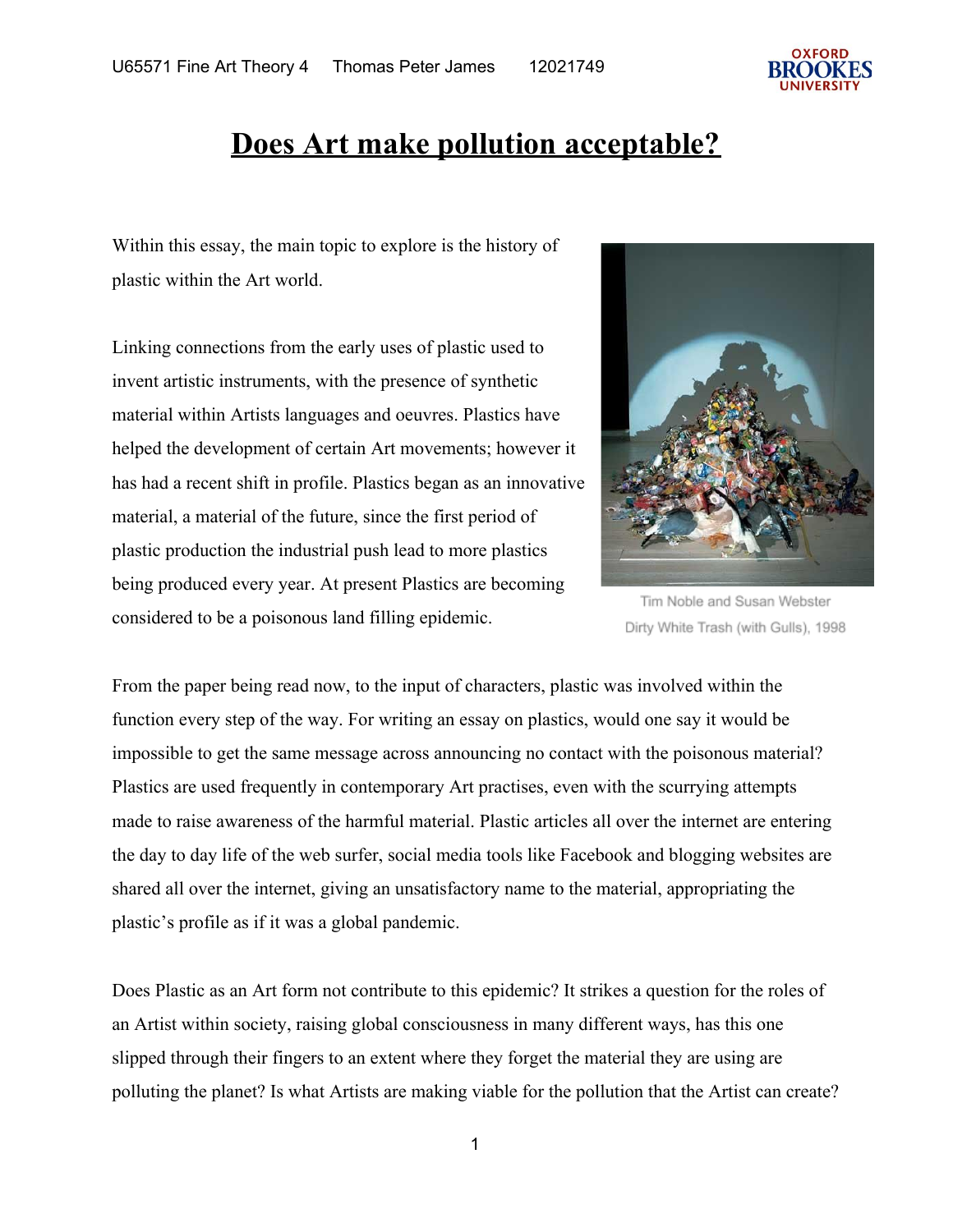

### **Does Art make pollution acceptable?**

Within this essay, the main topic to explore is the history of plastic within the Art world.

Linking connections from the early uses of plastic used to invent artistic instruments, with the presence of synthetic material within Artists languages and oeuvres. Plastics have helped the development of certain Art movements; however it has had a recent shift in profile. Plastics began as an innovative material, a material of the future, since the first period of plastic production the industrial push lead to more plastics being produced every year. At present Plastics are becoming considered to be a poisonous land filling epidemic.



Tim Noble and Susan Webster Dirty White Trash (with Gulls), 1998

From the paper being read now, to the input of characters, plastic was involved within the function every step of the way. For writing an essay on plastics, would one say it would be impossible to get the same message across announcing no contact with the poisonous material? Plastics are used frequently in contemporary Art practises, even with the scurrying attempts made to raise awareness of the harmful material. Plastic articles all over the internet are entering the day to day life of the web surfer, social media tools like Facebook and blogging websites are shared all over the internet, giving an unsatisfactory name to the material, appropriating the plastic's profile as if it was a global pandemic.

Does Plastic as an Art form not contribute to this epidemic? It strikes a question for the roles of an Artist within society, raising global consciousness in many different ways, has this one slipped through their fingers to an extent where they forget the material they are using are polluting the planet? Is what Artists are making viable for the pollution that the Artist can create?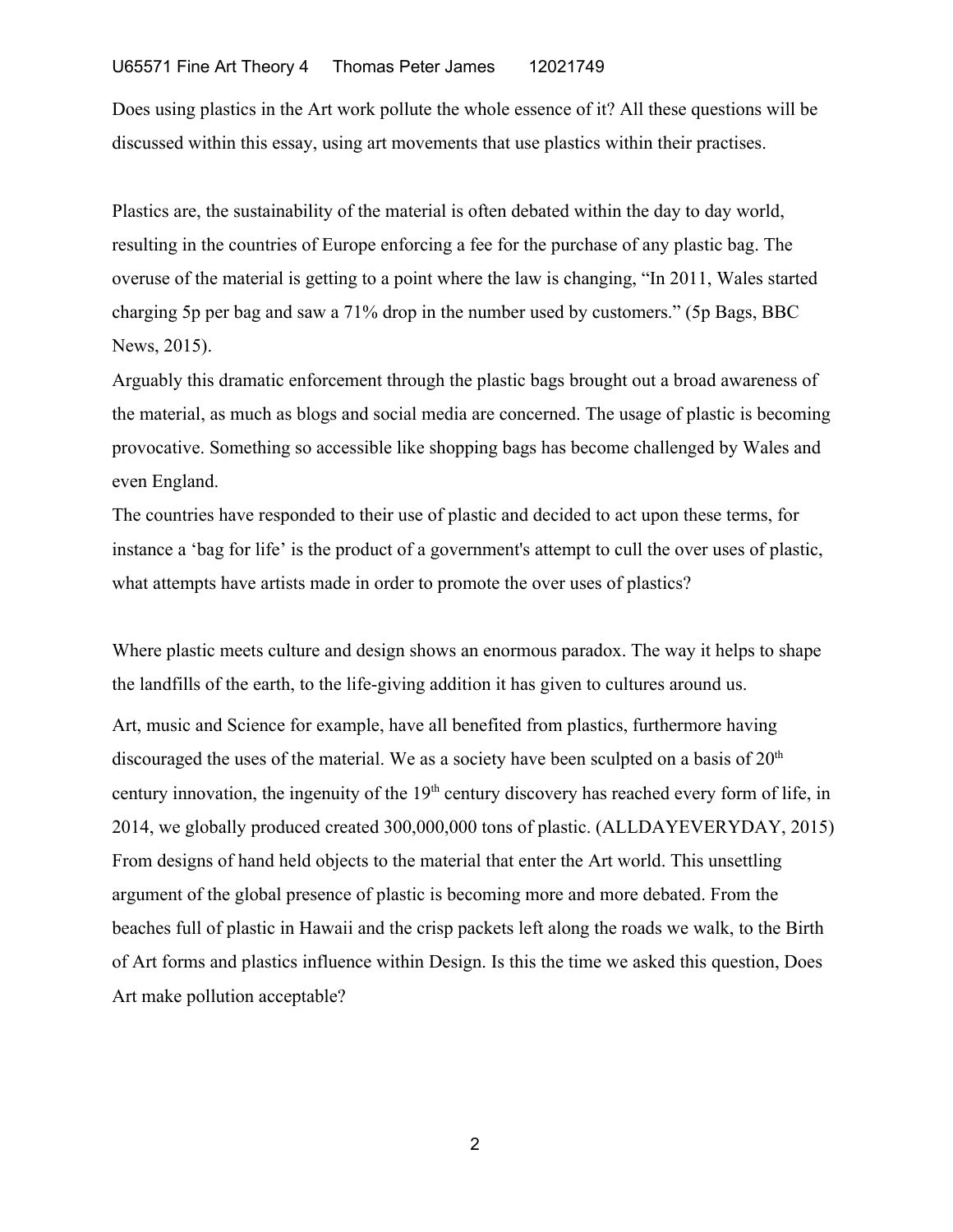Does using plastics in the Art work pollute the whole essence of it? All these questions will be discussed within this essay, using art movements that use plastics within their practises.

Plastics are, the sustainability of the material is often debated within the day to day world, resulting in the countries of Europe enforcing a fee for the purchase of any plastic bag. The overuse of the material is getting to a point where the law is changing, "In 2011, [Wales](http://www.bbc.co.uk/news/uk-wales-politics-34138414) started charging 5p per bag and saw a 71% drop in the number used by customers." (5p Bags, BBC News, 2015).

Arguably this dramatic enforcement through the plastic bags brought out a broad awareness of the material, as much as blogs and social media are concerned. The usage of plastic is becoming provocative. Something so accessible like shopping bags has become challenged by Wales and even England.

The countries have responded to their use of plastic and decided to act upon these terms, for instance a 'bag for life' is the product of a government's attempt to cull the over uses of plastic, what attempts have artists made in order to promote the over uses of plastics?

Where plastic meets culture and design shows an enormous paradox. The way it helps to shape the landfills of the earth, to the life-giving addition it has given to cultures around us. Art, music and Science for example, have all benefited from plastics, furthermore having discouraged the uses of the material. We as a society have been sculpted on a basis of  $20<sup>th</sup>$ century innovation, the ingenuity of the 19<sup>th</sup> century discovery has reached every form of life, in 2014, we globally produced created 300,000,000 tons of plastic. (ALLDAYEVERYDAY, 2015) From designs of hand held objects to the material that enter the Art world. This unsettling argument of the global presence of plastic is becoming more and more debated. From the beaches full of plastic in Hawaii and the crisp packets left along the roads we walk, to the Birth of Art forms and plastics influence within Design. Is this the time we asked this question, Does Art make pollution acceptable?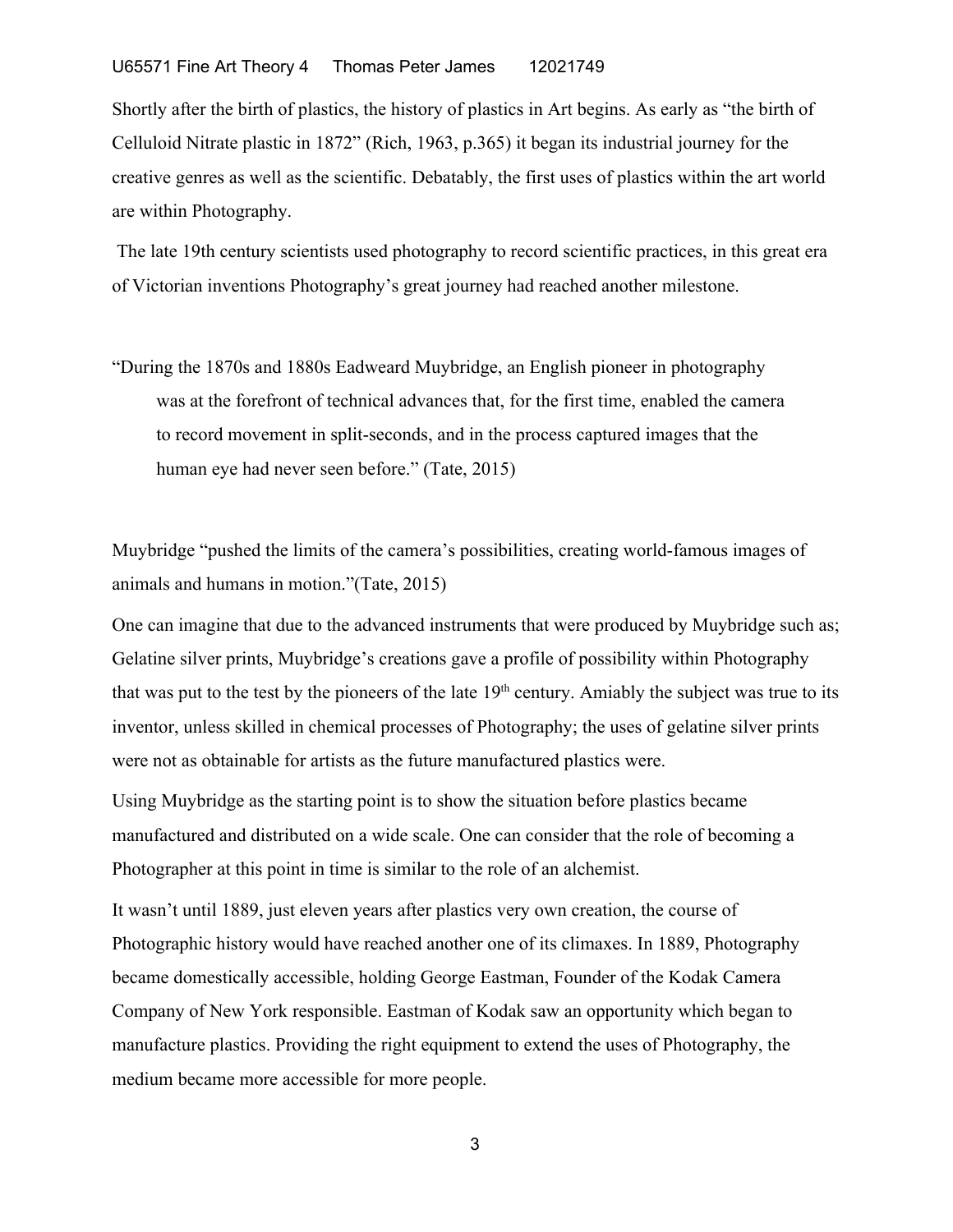#### U65571 Fine Art Theory 4 Thomas Peter James 12021749

Shortly after the birth of plastics, the history of plastics in Art begins. As early as "the birth of Celluloid Nitrate plastic in 1872" (Rich, 1963, p.365) it began its industrial journey for the creative genres as well as the scientific. Debatably, the first uses of plastics within the art world are within Photography.

 The late 19th century scientists used photography to record scientific practices, in this great era of Victorian inventions Photography's great journey had reached another milestone.

"During the 1870s and 1880s Eadweard Muybridge, an English pioneer in photography was at the forefront of technical advances that, for the first time, enabled the camera to record movement in split-seconds, and in the process captured images that the human eye had never seen before." (Tate, 2015)

Muybridge "pushed the limits of the camera's possibilities, creating world-famous images of animals and humans in motion."(Tate, 2015)

One can imagine that due to the advanced instruments that were produced by Muybridge such as; Gelatine silver prints, Muybridge's creations gave a profile of possibility within Photography that was put to the test by the pioneers of the late 19<sup>th</sup> century. Amiably the subject was true to its inventor, unless skilled in chemical processes of Photography; the uses of gelatine silver prints were not as obtainable for artists as the future manufactured plastics were.

Using Muybridge as the starting point is to show the situation before plastics became manufactured and distributed on a wide scale. One can consider that the role of becoming a Photographer at this point in time is similar to the role of an alchemist.

It wasn't until 1889, just eleven years after plastics very own creation, the course of Photographic history would have reached another one of its climaxes. In 1889, Photography became domestically accessible, holding George Eastman, Founder of the Kodak Camera Company of New York responsible. Eastman of Kodak saw an opportunity which began to manufacture plastics. Providing the right equipment to extend the uses of Photography, the medium became more accessible for more people.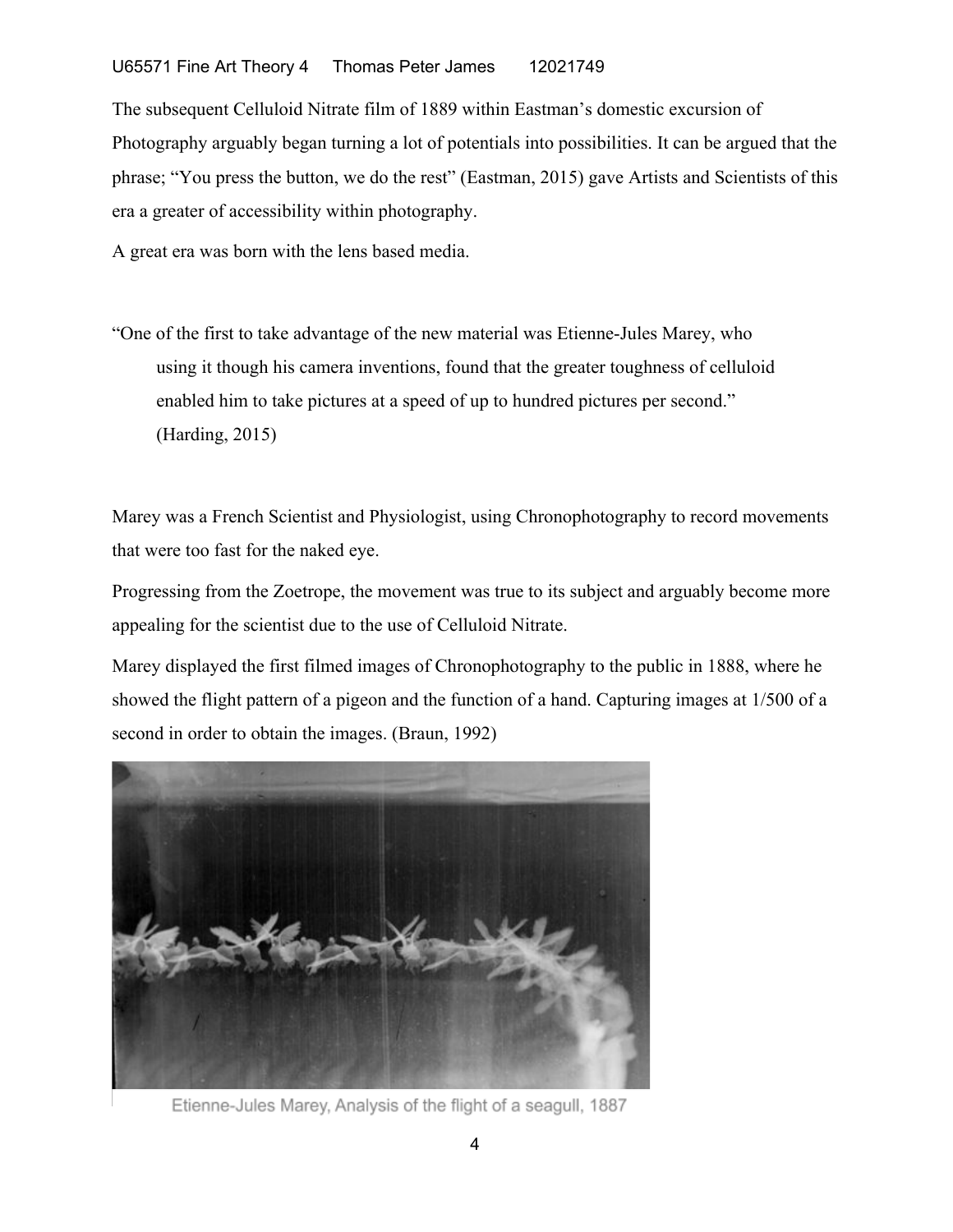### U65571 Fine Art Theory 4 Thomas Peter James 12021749

The subsequent Celluloid Nitrate film of 1889 within Eastman's domestic excursion of Photography arguably began turning a lot of potentials into possibilities. It can be argued that the phrase; "You press the button, we do the rest" (Eastman, 2015) gave Artists and Scientists of this era a greater of accessibility within photography.

A great era was born with the lens based media.

"One of the first to take advantage of the new material was Etienne-Jules Marey, who using it though his camera inventions, found that the greater toughness of celluloid enabled him to take pictures at a speed of up to hundred pictures per second." (Harding, 2015)

Marey was a French Scientist and Physiologist, using Chronophotography to record movements that were too fast for the naked eye.

Progressing from the Zoetrope, the movement was true to its subject and arguably become more appealing for the scientist due to the use of Celluloid Nitrate.

Marey displayed the first filmed images of Chronophotography to the public in 1888, where he showed the flight pattern of a pigeon and the function of a hand. Capturing images at 1/500 of a second in order to obtain the images. (Braun, 1992)



Etienne-Jules Marey, Analysis of the flight of a seagull, 1887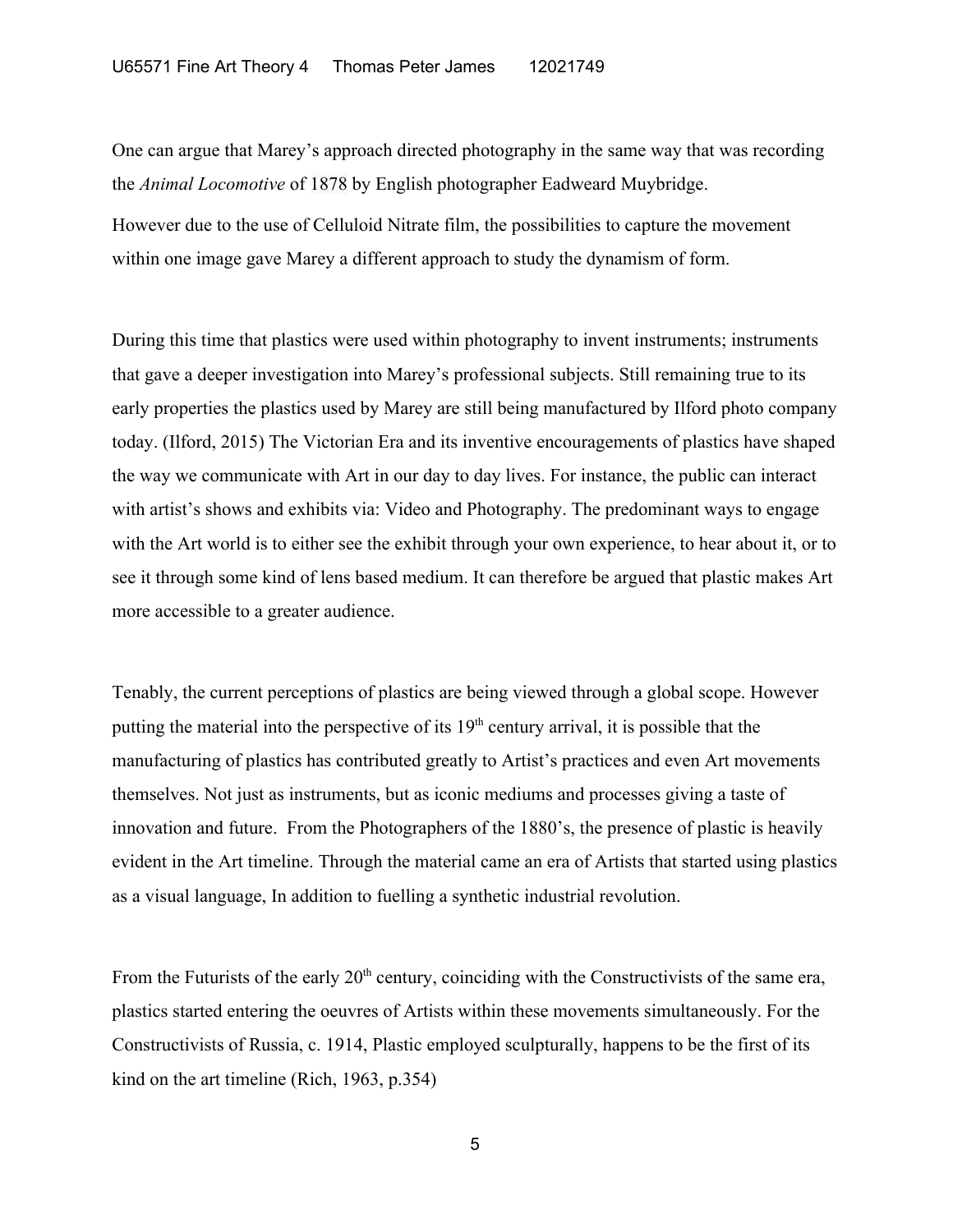One can argue that Marey's approach directed photography in the same way that was recording the *Animal Locomotive* of 1878 by English photographer Eadweard Muybridge. However due to the use of Celluloid Nitrate film, the possibilities to capture the movement within one image gave Marey a different approach to study the dynamism of form.

During this time that plastics were used within photography to invent instruments; instruments that gave a deeper investigation into Marey's professional subjects. Still remaining true to its early properties the plastics used by Marey are still being manufactured by Ilford photo company today. (Ilford, 2015) The Victorian Era and its inventive encouragements of plastics have shaped the way we communicate with Art in our day to day lives. For instance, the public can interact with artist's shows and exhibits via: Video and Photography. The predominant ways to engage with the Art world is to either see the exhibit through your own experience, to hear about it, or to see it through some kind of lens based medium. It can therefore be argued that plastic makes Art more accessible to a greater audience.

Tenably, the current perceptions of plastics are being viewed through a global scope. However putting the material into the perspective of its  $19<sup>th</sup>$  century arrival, it is possible that the manufacturing of plastics has contributed greatly to Artist's practices and even Art movements themselves. Not just as instruments, but as iconic mediums and processes giving a taste of innovation and future. From the Photographers of the 1880's, the presence of plastic is heavily evident in the Art timeline. Through the material came an era of Artists that started using plastics as a visual language, In addition to fuelling a synthetic industrial revolution.

From the Futurists of the early  $20<sup>th</sup>$  century, coinciding with the Constructivists of the same era, plastics started entering the oeuvres of Artists within these movements simultaneously. For the Constructivists of Russia, c. 1914, Plastic employed sculpturally, happens to be the first of its kind on the art timeline (Rich, 1963, p.354)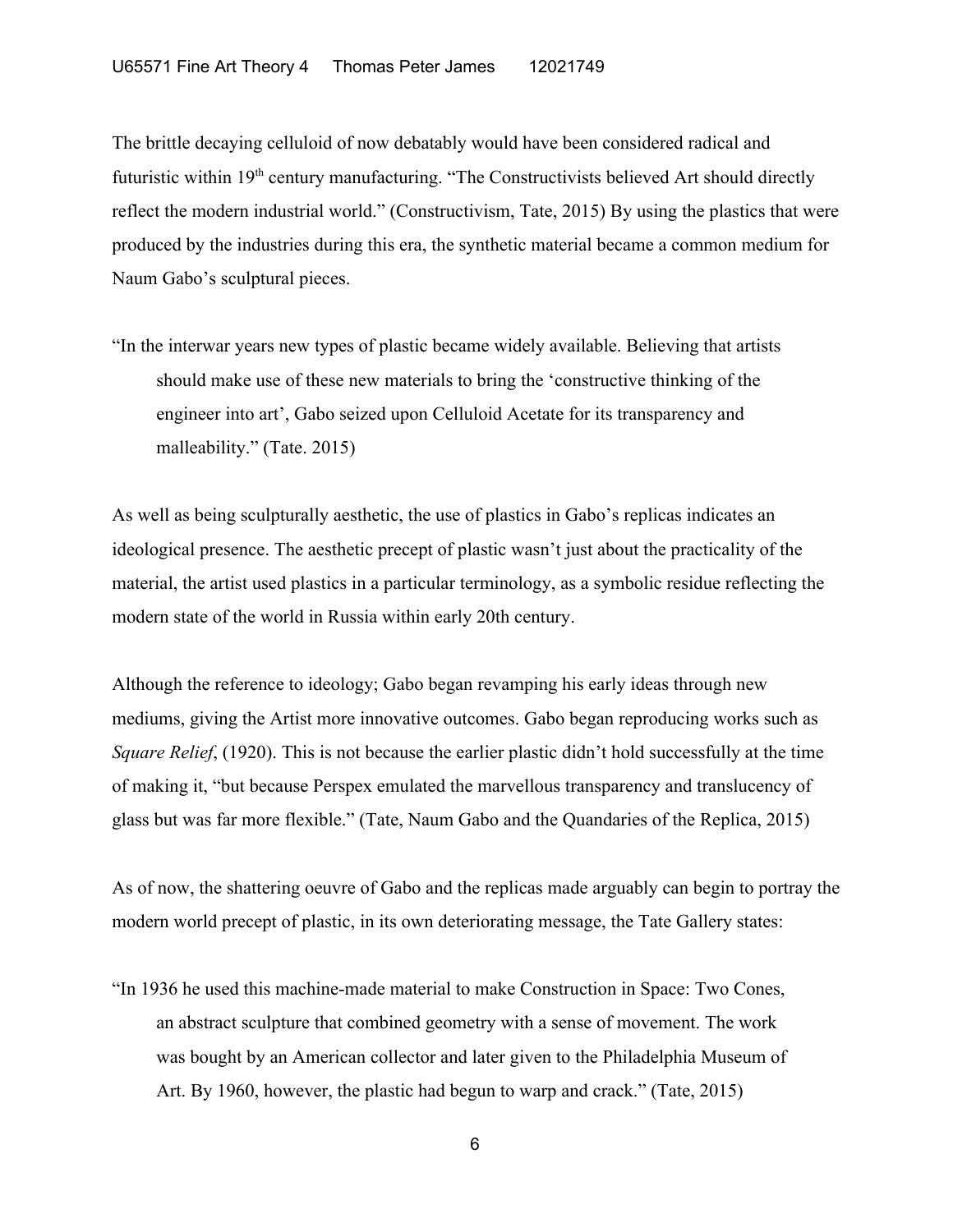The brittle decaying celluloid of now debatably would have been considered radical and futuristic within 19<sup>th</sup> century manufacturing. "The Constructivists believed Art should directly reflect the modern industrial world." (Constructivism, Tate, 2015) By using the plastics that were produced by the industries during this era, the synthetic material became a common medium for Naum Gabo's sculptural pieces.

"In the interwar years new types of plastic became widely available. Believing that artists should make use of these new materials to bring the 'constructive thinking of the engineer into art', Gabo seized upon Celluloid Acetate for its transparency and malleability." (Tate. 2015)

As well as being sculpturally aesthetic, the use of plastics in Gabo's replicas indicates an ideological presence. The aesthetic precept of plastic wasn't just about the practicality of the material, the artist used plastics in a particular terminology, as a symbolic residue reflecting the modern state of the world in Russia within early 20th century.

Although the reference to ideology; Gabo began revamping his early ideas through new mediums, giving the Artist more innovative outcomes. Gabo began reproducing works such as *Square Relief*, (1920). This is not because the earlier plastic didn't hold successfully at the time of making it, "but because Perspex emulated the marvellous transparency and translucency of glass but was far more flexible." (Tate, Naum Gabo and the Quandaries of the Replica, 2015)

As of now, the shattering oeuvre of Gabo and the replicas made arguably can begin to portray the modern world precept of plastic, in its own deteriorating message, the Tate Gallery states:

"In 1936 he used this machine-made material to make Construction in Space: Two Cones, an abstract sculpture that combined geometry with a sense of movement. The work was bought by an American collector and later given to the Philadelphia Museum of Art. By 1960, however, the plastic had begun to warp and crack." (Tate, 2015)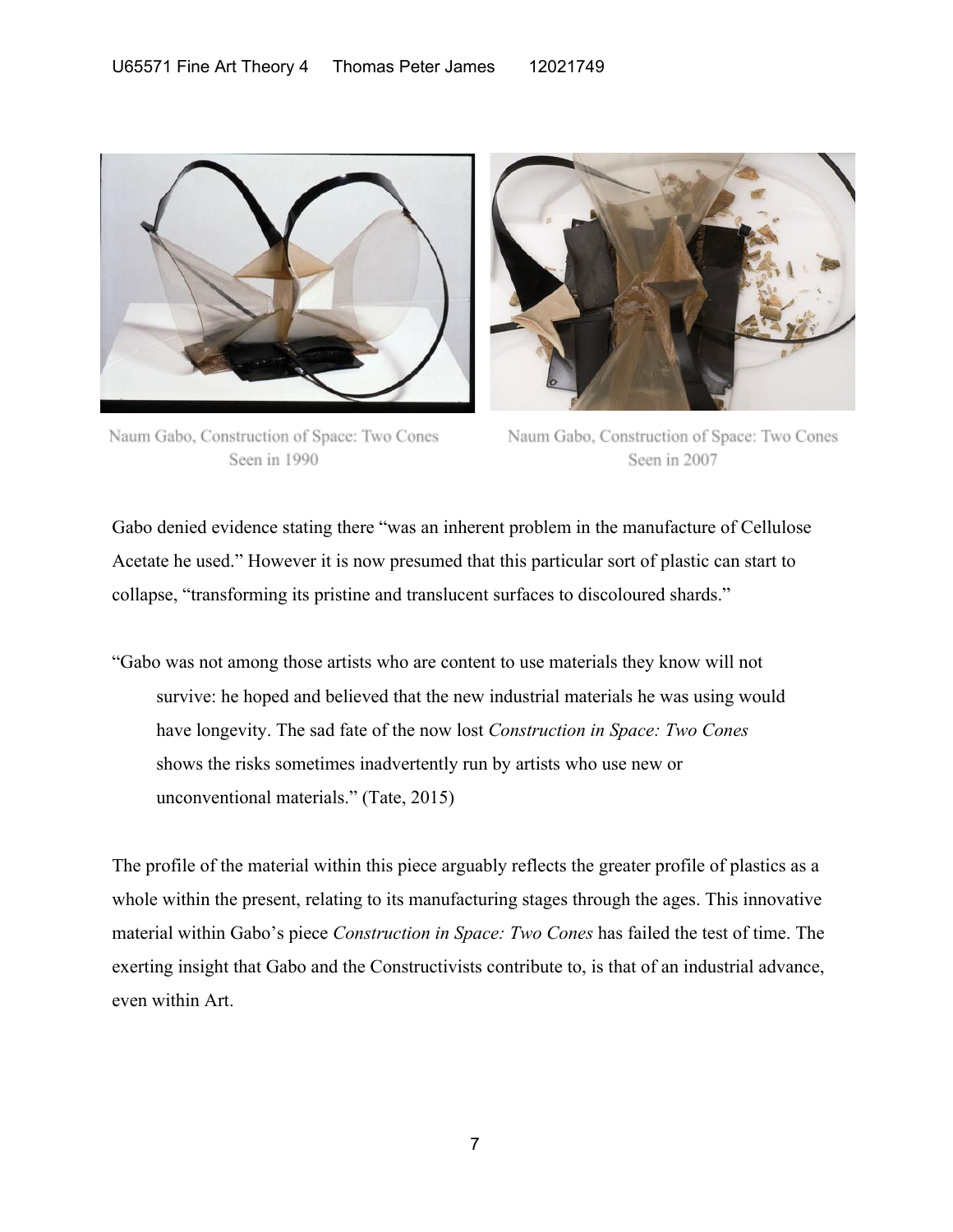



Naum Gabo, Construction of Space: Two Cones Seen in 1990

Naum Gabo, Construction of Space: Two Cones Seen in 2007

Gabo denied evidence stating there "was an inherent problem in the manufacture of Cellulose Acetate he used." However it is now presumed that this particular sort of plastic can start to collapse, "transforming its pristine and translucent surfaces to discoloured shards."

"Gabo was not among those artists who are content to use materials they know will not survive: he hoped and believed that the new industrial materials he was using would have longevity. The sad fate of the now lost *Construction in Space: Two Cones* shows the risks sometimes inadvertently run by artists who use new or unconventional materials." (Tate, 2015)

The profile of the material within this piece arguably reflects the greater profile of plastics as a whole within the present, relating to its manufacturing stages through the ages. This innovative material within Gabo's piece *Construction in Space: Two Cones* has failed the test of time. The exerting insight that Gabo and the Constructivists contribute to, is that of an industrial advance, even within Art.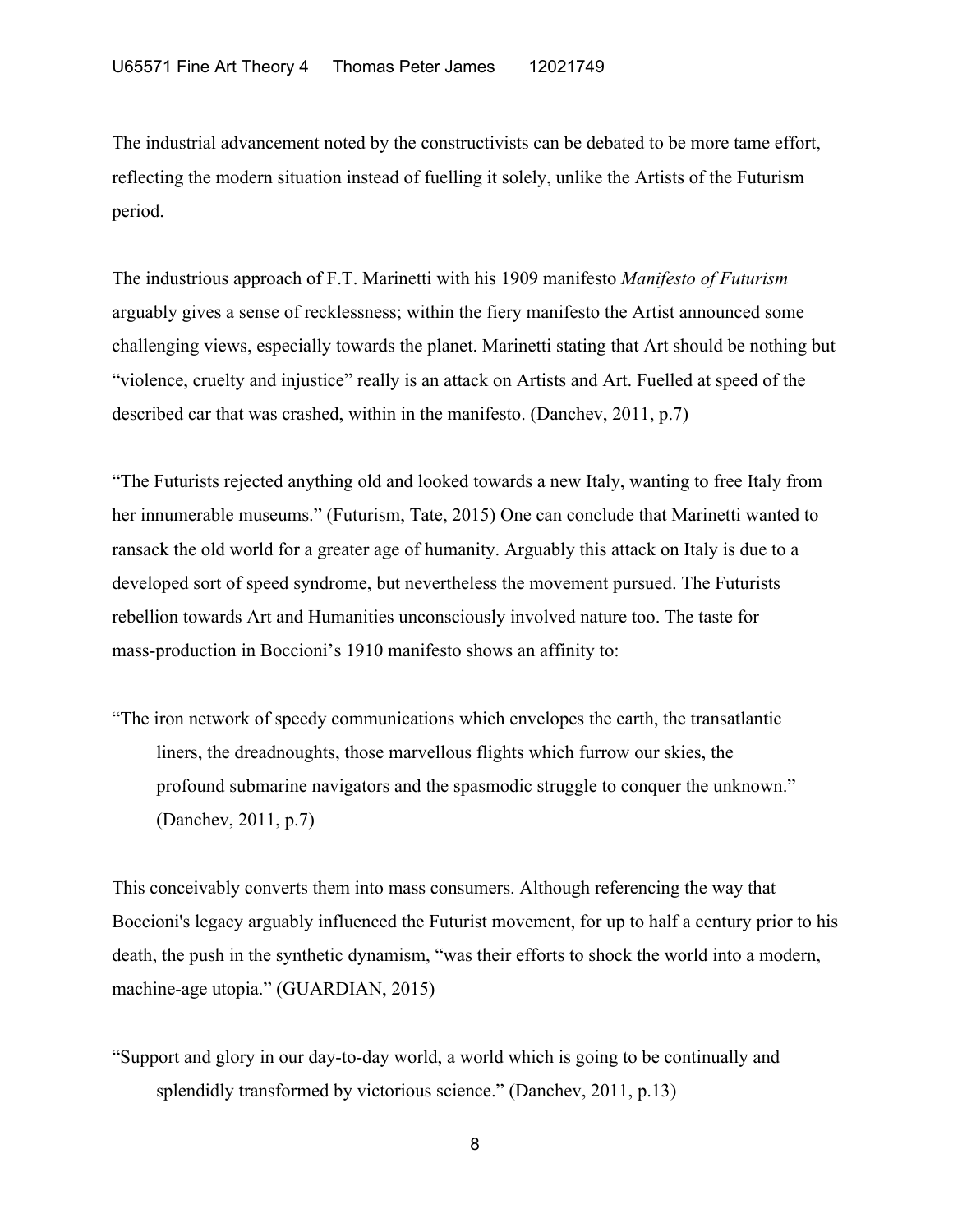The industrial advancement noted by the constructivists can be debated to be more tame effort, reflecting the modern situation instead of fuelling it solely, unlike the Artists of the Futurism period.

The industrious approach of F.T. Marinetti with his 1909 manifesto *Manifesto of Futurism* arguably gives a sense of recklessness; within the fiery manifesto the Artist announced some challenging views, especially towards the planet. Marinetti stating that Art should be nothing but "violence, cruelty and injustice" really is an attack on Artists and Art. Fuelled at speed of the described car that was crashed, within in the manifesto. (Danchev, 2011, p.7)

"The Futurists rejected anything old and looked towards a new Italy, wanting to free Italy from her innumerable museums." (Futurism, Tate, 2015) One can conclude that Marinetti wanted to ransack the old world for a greater age of humanity. Arguably this attack on Italy is due to a developed sort of speed syndrome, but nevertheless the movement pursued. The Futurists rebellion towards Art and Humanities unconsciously involved nature too. The taste for mass-production in Boccioni's 1910 manifesto shows an affinity to:

"The iron network of speedy communications which envelopes the earth, the transatlantic liners, the dreadnoughts, those marvellous flights which furrow our skies, the profound submarine navigators and the spasmodic struggle to conquer the unknown." (Danchev, 2011, p.7)

This conceivably converts them into mass consumers. Although referencing the way that Boccioni's legacy arguably influenced the Futurist movement, for up to half a century prior to his death, the push in the synthetic dynamism, "was their efforts to shock the world into a modern, machine-age utopia." (GUARDIAN, 2015)

"Support and glory in our day-to-day world, a world which is going to be continually and splendidly transformed by victorious science." (Danchev, 2011, p.13)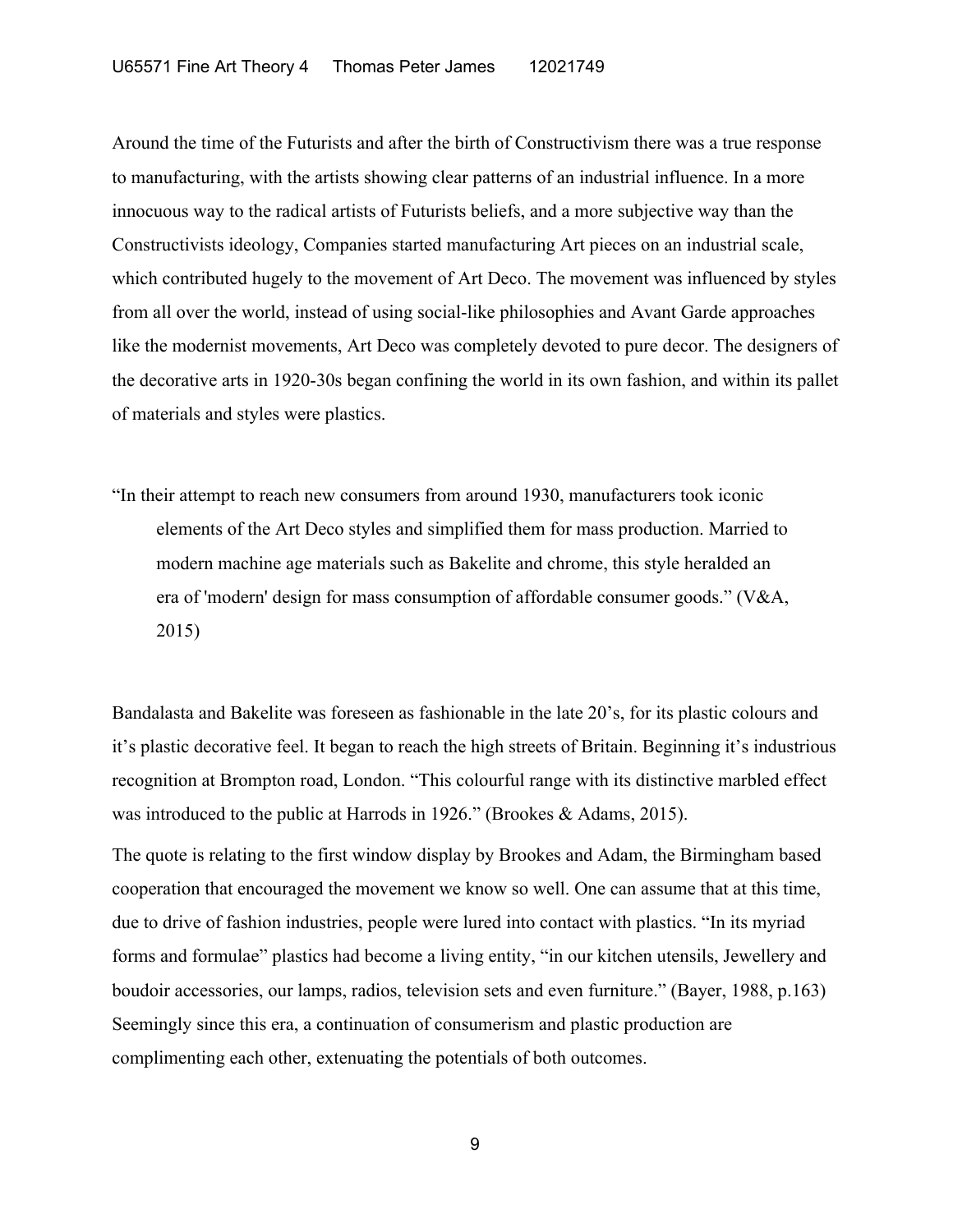Around the time of the Futurists and after the birth of Constructivism there was a true response to manufacturing, with the artists showing clear patterns of an industrial influence. In a more innocuous way to the radical artists of Futurists beliefs, and a more subjective way than the Constructivists ideology, Companies started manufacturing Art pieces on an industrial scale, which contributed hugely to the movement of Art Deco. The movement was influenced by styles from all over the world, instead of using social-like philosophies and Avant Garde approaches like the modernist movements, Art Deco was completely devoted to pure decor. The designers of the decorative arts in 1920-30s began confining the world in its own fashion, and within its pallet of materials and styles were plastics.

"In their attempt to reach new consumers from around 1930, manufacturers took iconic elements of the Art Deco styles and simplified them for mass production. Married to modern machine age materials such as Bakelite and chrome, this style heralded an era of 'modern' design for mass consumption of affordable consumer goods." (V&A, 2015)

Bandalasta and Bakelite was foreseen as fashionable in the late 20's, for its plastic colours and it's plastic decorative feel. It began to reach the high streets of Britain. Beginning it's industrious recognition at Brompton road, London. "This colourful range with its distinctive marbled effect was introduced to the public at Harrods in 1926." (Brookes & Adams, 2015).

The quote is relating to the first window display by Brookes and Adam, the Birmingham based cooperation that encouraged the movement we know so well. One can assume that at this time, due to drive of fashion industries, people were lured into contact with plastics. "In its myriad forms and formulae" plastics had become a living entity, "in our kitchen utensils, Jewellery and boudoir accessories, our lamps, radios, television sets and even furniture." (Bayer, 1988, p.163) Seemingly since this era, a continuation of consumerism and plastic production are complimenting each other, extenuating the potentials of both outcomes.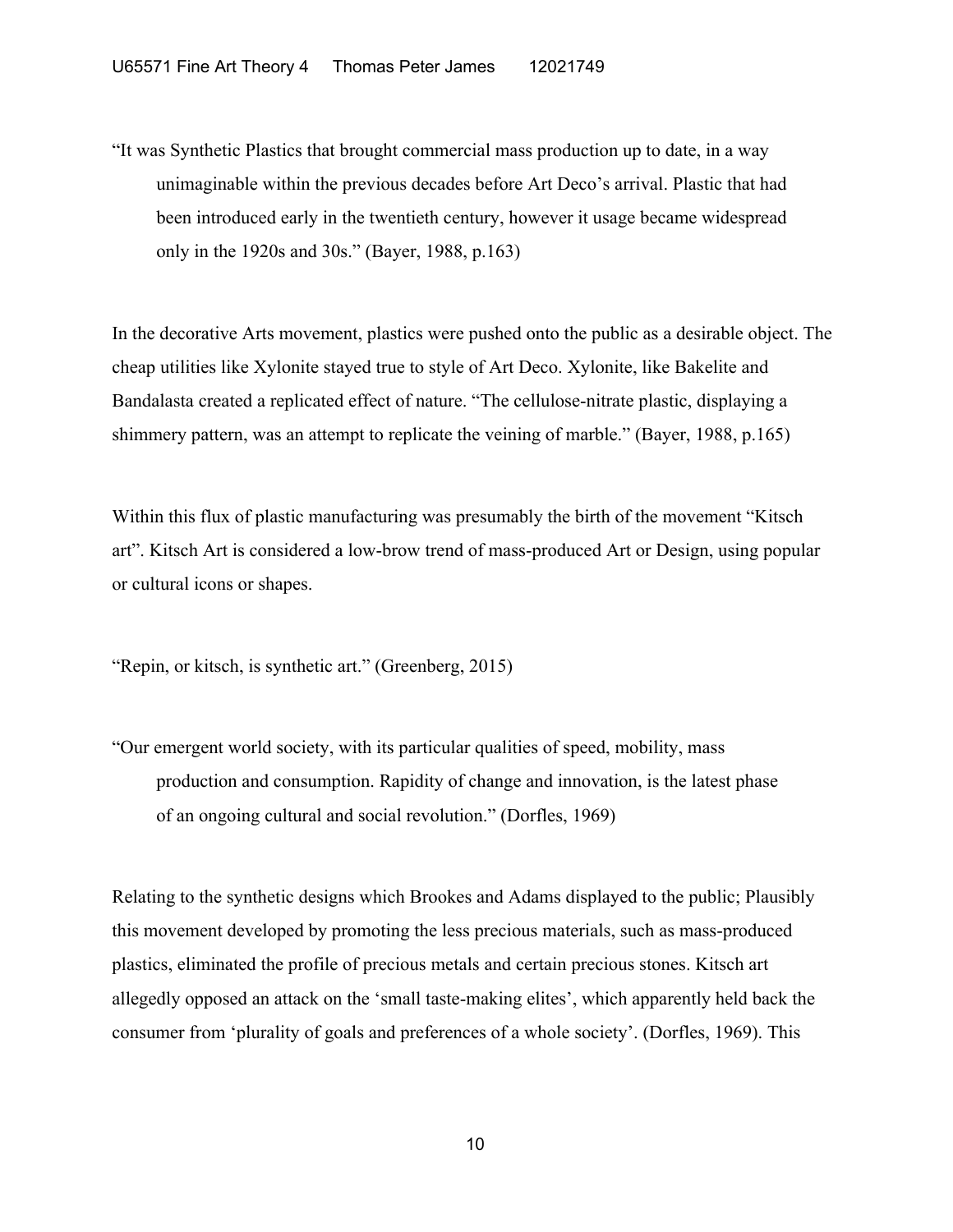"It was Synthetic Plastics that brought commercial mass production up to date, in a way unimaginable within the previous decades before Art Deco's arrival. Plastic that had been introduced early in the twentieth century, however it usage became widespread only in the 1920s and 30s." (Bayer, 1988, p.163)

In the decorative Arts movement, plastics were pushed onto the public as a desirable object. The cheap utilities like Xylonite stayed true to style of Art Deco. Xylonite, like Bakelite and Bandalasta created a replicated effect of nature. "The cellulose-nitrate plastic, displaying a shimmery pattern, was an attempt to replicate the veining of marble." (Bayer, 1988, p.165)

Within this flux of plastic manufacturing was presumably the birth of the movement "Kitsch art". Kitsch Art is considered a low-brow trend of mass-produced Art or Design, using popular or cultural icons or shapes.

"Repin, or kitsch, is synthetic art." (Greenberg, 2015)

"Our emergent world society, with its particular qualities of speed, mobility, mass production and consumption. Rapidity of change and innovation, is the latest phase of an ongoing cultural and social revolution." (Dorfles, 1969)

Relating to the synthetic designs which Brookes and Adams displayed to the public; Plausibly this movement developed by promoting the less precious materials, such as mass-produced plastics, eliminated the profile of precious metals and certain precious stones. Kitsch art allegedly opposed an attack on the 'small taste-making elites', which apparently held back the consumer from 'plurality of goals and preferences of a whole society'. (Dorfles, 1969). This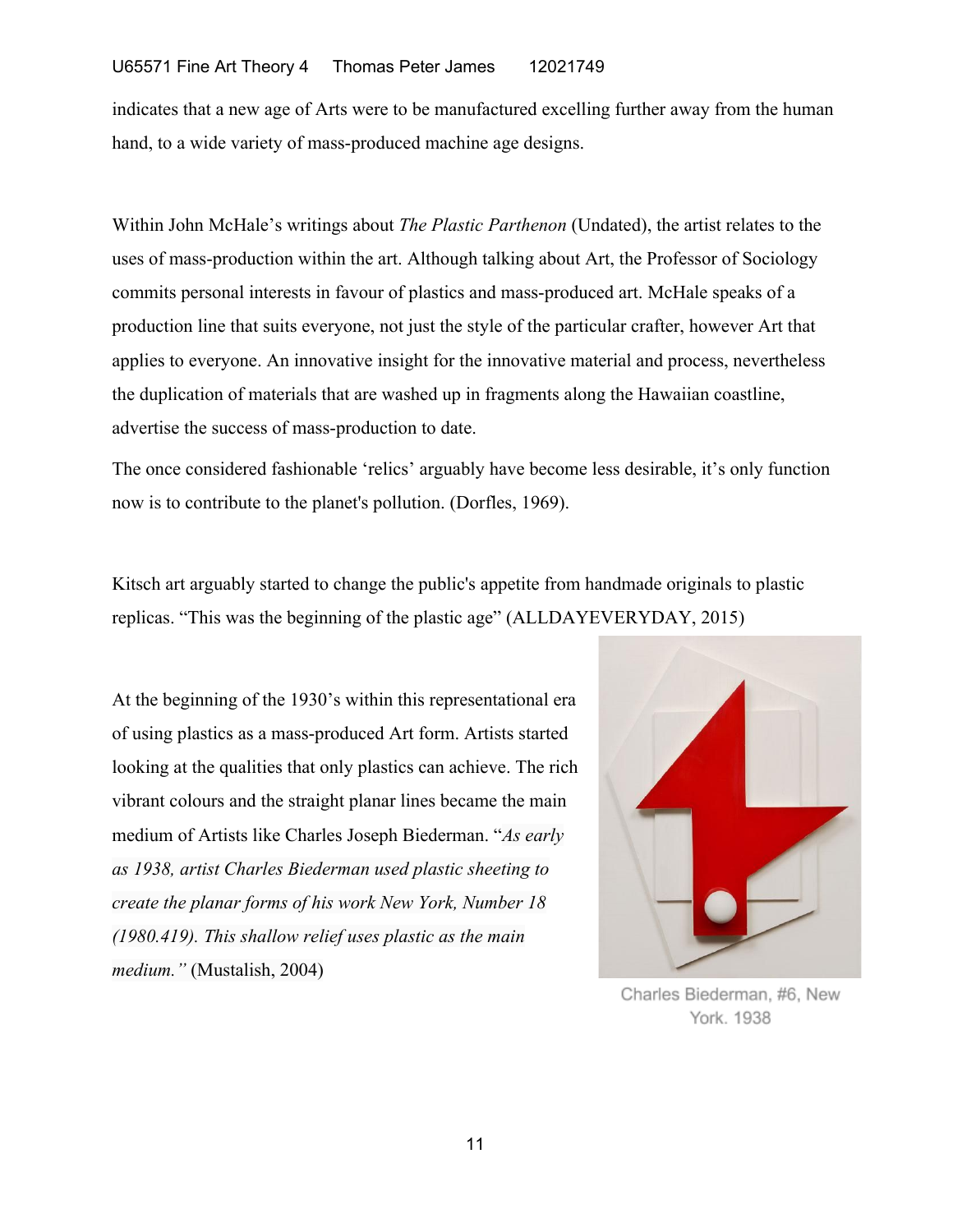indicates that a new age of Arts were to be manufactured excelling further away from the human hand, to a wide variety of mass-produced machine age designs.

Within John McHale's writings about *The Plastic Parthenon* (Undated), the artist relates to the uses of mass-production within the art. Although talking about Art, the Professor of Sociology commits personal interests in favour of plastics and mass-produced art. McHale speaks of a production line that suits everyone, not just the style of the particular crafter, however Art that applies to everyone. An innovative insight for the innovative material and process, nevertheless the duplication of materials that are washed up in fragments along the Hawaiian coastline, advertise the success of mass-production to date.

The once considered fashionable 'relics' arguably have become less desirable, it's only function now is to contribute to the planet's pollution. (Dorfles, 1969).

Kitsch art arguably started to change the public's appetite from handmade originals to plastic replicas. "This was the beginning of the plastic age" (ALLDAYEVERYDAY, 2015)

At the beginning of the 1930's within this representational era of using plastics as a mass-produced Art form. Artists started looking at the qualities that only plastics can achieve. The rich vibrant colours and the straight planar lines became the main medium of Artists like Charles Joseph Biederman. "*As early as 1938, artist Charles Biederman used plastic sheeting to create the planar forms of his work New York, Number 18 (1980.419). This shallow relief uses plastic as the main medium."* (Mustalish, 2004)



Charles Biederman, #6, New York. 1938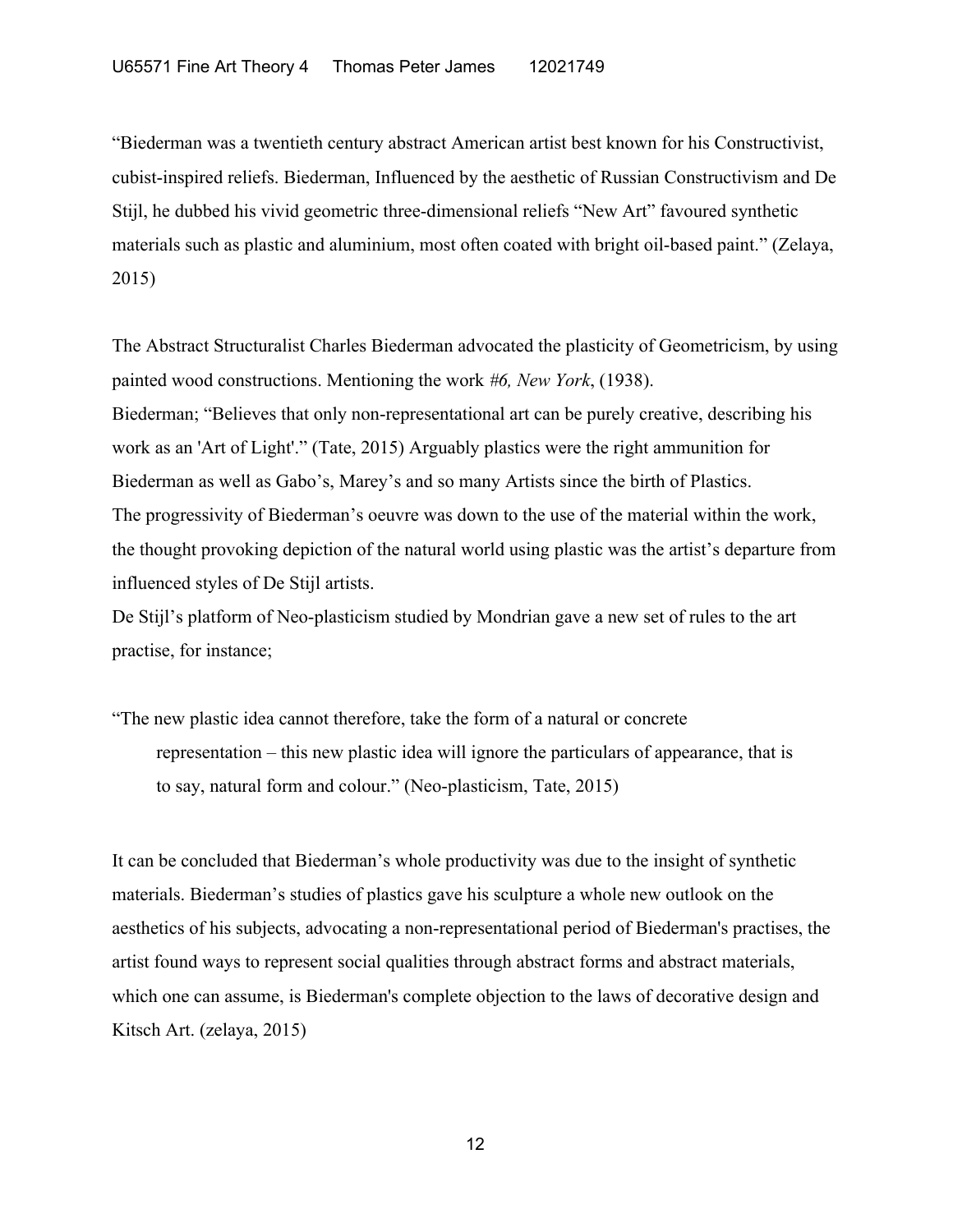"Biederman was a twentieth century abstract American artist best known for his Constructivist, cubist-inspired reliefs. Biederman, Influenced by the aesthetic of Russian Constructivism and De Stijl, he dubbed his vivid geometric three-dimensional reliefs "New Art" favoured synthetic materials such as plastic and aluminium, most often coated with bright oil-based paint." (Zelaya, 2015)

The Abstract Structuralist Charles Biederman advocated the plasticity of Geometricism, by using painted wood constructions. Mentioning the work *#6, New York*, (1938). Biederman; "Believes that only non-[representational](http://www.tate.org.uk/learn/online-resources/glossary/r/representational) art can be purely creative, describing his work as an 'Art of Light'." (Tate, 2015) Arguably plastics were the right ammunition for Biederman as well as Gabo's, Marey's and so many Artists since the birth of Plastics. The progressivity of Biederman's oeuvre was down to the use of the material within the work, the thought provoking depiction of the natural world using plastic was the artist's departure from influenced styles of De Stijl artists.

De Stijl's platform of Neo-plasticism studied by Mondrian gave a new set of rules to the art practise, for instance;

"The new plastic idea cannot therefore, take the form of a natural or concrete representation – this new plastic idea will ignore the particulars of appearance, that is to say, natural form and colour." (Neo-plasticism, Tate, 2015)

It can be concluded that Biederman's whole productivity was due to the insight of synthetic materials. Biederman's studies of plastics gave his sculpture a whole new outlook on the aesthetics of his subjects, advocating a non-representational period of Biederman's practises, the artist found ways to represent social qualities through abstract forms and abstract materials, which one can assume, is Biederman's complete objection to the laws of decorative design and Kitsch Art. (zelaya, 2015)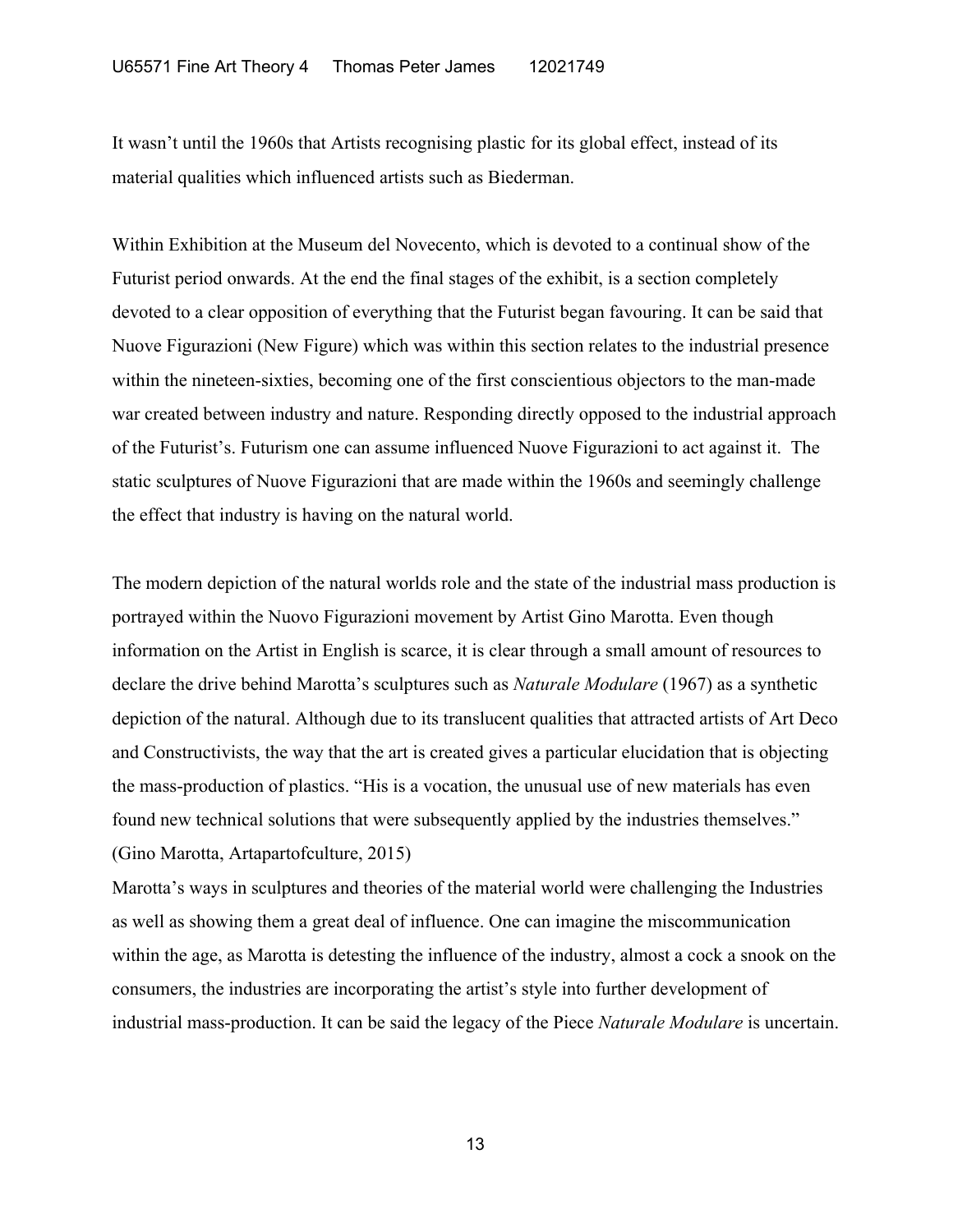It wasn't until the 1960s that Artists recognising plastic for its global effect, instead of its material qualities which influenced artists such as Biederman.

Within Exhibition at the Museum del Novecento, which is devoted to a continual show of the Futurist period onwards. At the end the final stages of the exhibit, is a section completely devoted to a clear opposition of everything that the Futurist began favouring. It can be said that Nuove Figurazioni (New Figure) which was within this section relates to the industrial presence within the nineteen-sixties, becoming one of the first conscientious objectors to the man-made war created between industry and nature. Responding directly opposed to the industrial approach of the Futurist's. Futurism one can assume influenced Nuove Figurazioni to act against it. The static sculptures of Nuove Figurazioni that are made within the 1960s and seemingly challenge the effect that industry is having on the natural world.

The modern depiction of the natural worlds role and the state of the industrial mass production is portrayed within the Nuovo Figurazioni movement by Artist Gino Marotta. Even though information on the Artist in English is scarce, it is clear through a small amount of resources to declare the drive behind Marotta's sculptures such as *Naturale Modulare* (1967) as a synthetic depiction of the natural. Although due to its translucent qualities that attracted artists of Art Deco and Constructivists, the way that the art is created gives a particular elucidation that is objecting the mass-production of plastics. "His is a vocation, the unusual use of new materials has even found new technical solutions that were subsequently applied by the industries themselves." (Gino Marotta, Artapartofculture, 2015)

Marotta's ways in sculptures and theories of the material world were challenging the Industries as well as showing them a great deal of influence. One can imagine the miscommunication within the age, as Marotta is detesting the influence of the industry, almost a cock a snook on the consumers, the industries are incorporating the artist's style into further development of industrial mass-production. It can be said the legacy of the Piece *Naturale Modulare* is uncertain.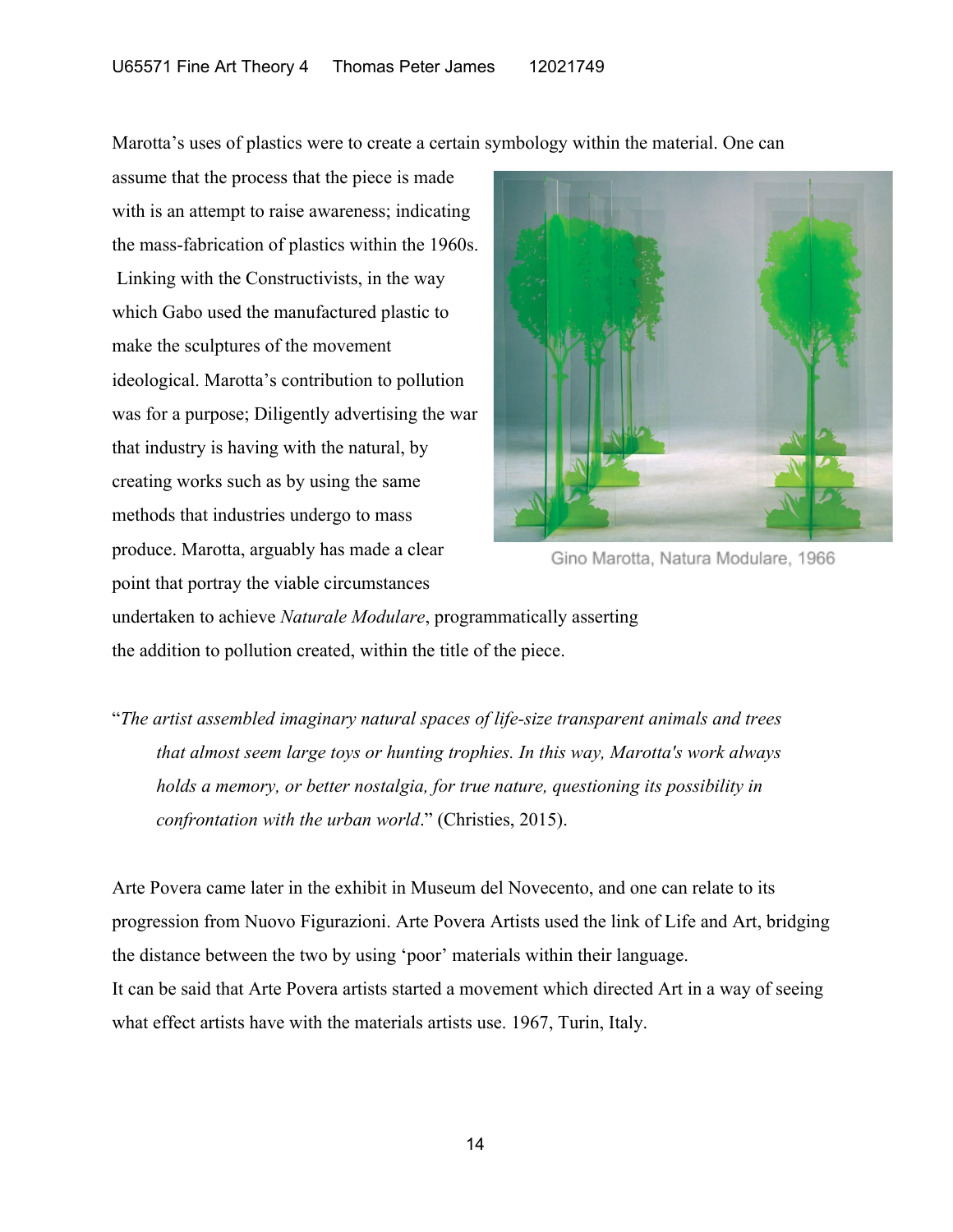Marotta's uses of plastics were to create a certain symbology within the material. One can

assume that the process that the piece is made with is an attempt to raise awareness; indicating the mass-fabrication of plastics within the 1960s. Linking with the Constructivists, in the way which Gabo used the manufactured plastic to make the sculptures of the movement ideological. Marotta's contribution to pollution was for a purpose; Diligently advertising the war that industry is having with the natural, by creating works such as by using the same methods that industries undergo to mass produce. Marotta, arguably has made a clear point that portray the viable circumstances



Gino Marotta, Natura Modulare, 1966

undertaken to achieve *Naturale Modulare*, programmatically asserting the addition to pollution created, within the title of the piece.

"*The artist assembled imaginary natural spaces of life-size transparent animals and trees that almost seem large toys or hunting trophies. In this way, Marotta's work always holds a memory, or better nostalgia, for true nature, questioning its possibility in confrontation with the urban world*." (Christies, 2015).

Arte Povera came later in the exhibit in Museum del Novecento, and one can relate to its progression from Nuovo Figurazioni. Arte Povera Artists used the link of Life and Art, bridging the distance between the two by using 'poor' materials within their language. It can be said that Arte Povera artists started a movement which directed Art in a way of seeing what effect artists have with the materials artists use. 1967, Turin, Italy.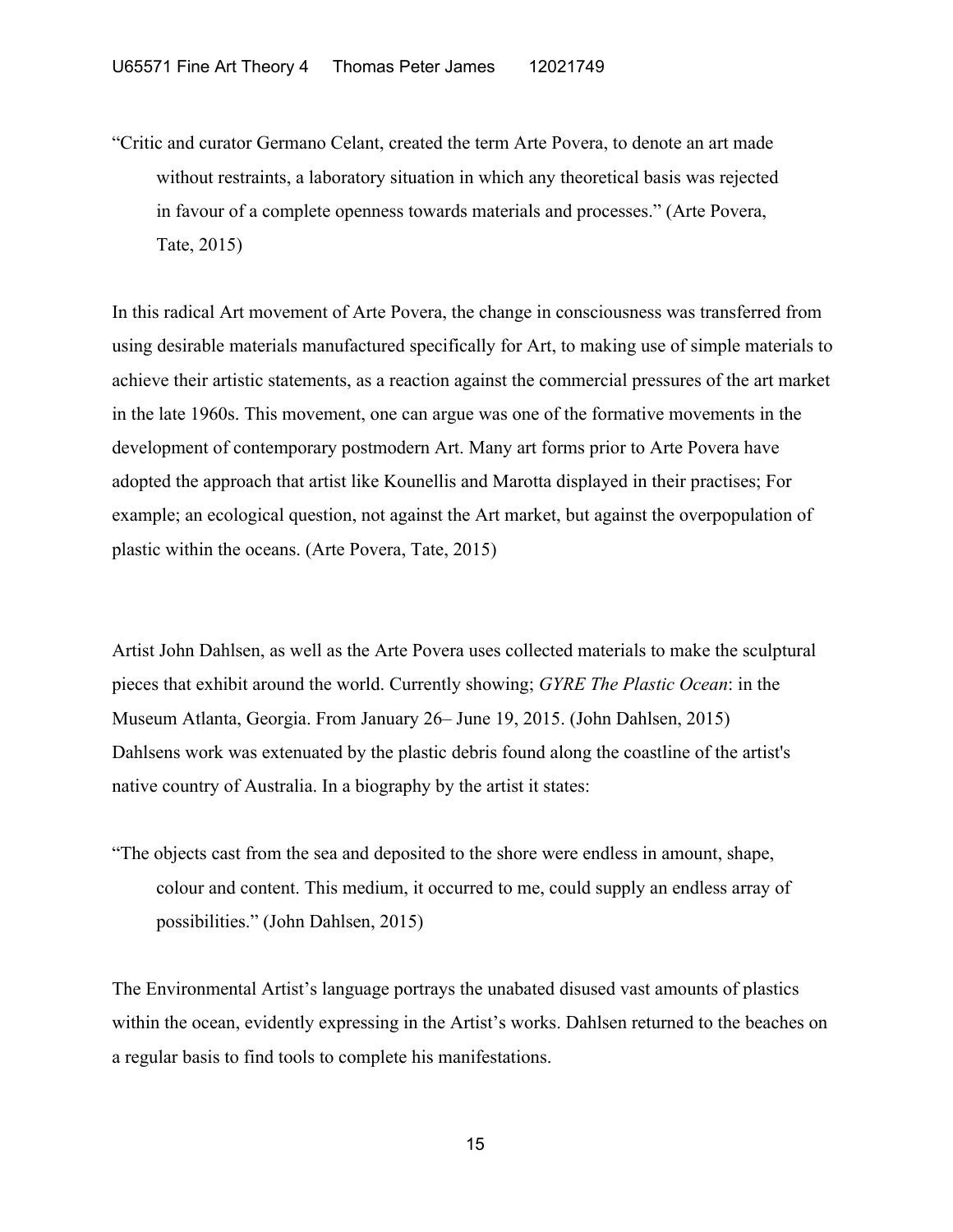"Critic and curator Germano Celant, created the term Arte Povera, to denote an art made without restraints, a laboratory situation in which any theoretical basis was rejected in favour of a complete openness towards materials and processes." (Arte Povera, Tate, 2015)

In this radical Art movement of Arte Povera, the change in consciousness was transferred from using desirable materials manufactured specifically for Art, to making use of simple materials to achieve their artistic statements, as a reaction against the commercial pressures of the art market in the late 1960s. This movement, one can argue was one of the formative movements in the development of contemporary postmodern Art. Many art forms prior to Arte Povera have adopted the approach that artist like Kounellis and Marotta displayed in their practises; For example; an ecological question, not against the Art market, but against the overpopulation of plastic within the oceans. (Arte Povera, Tate, 2015)

Artist John Dahlsen, as well as the Arte Povera uses collected materials to make the sculptural pieces that exhibit around the world. Currently showing; *GYRE The Plastic Ocean*: in the Museum Atlanta, Georgia. From January 26– June 19, 2015. (John Dahlsen, 2015) Dahlsens work was extenuated by the plastic debris found along the coastline of the artist's native country of Australia. In a biography by the artist it states:

"The objects cast from the sea and deposited to the shore were endless in amount, shape, colour and content. This medium, it occurred to me, could supply an endless array of possibilities." (John Dahlsen, 2015)

The Environmental Artist's language portrays the unabated disused vast amounts of plastics within the ocean, evidently expressing in the Artist's works. Dahlsen returned to the beaches on a regular basis to find tools to complete his manifestations.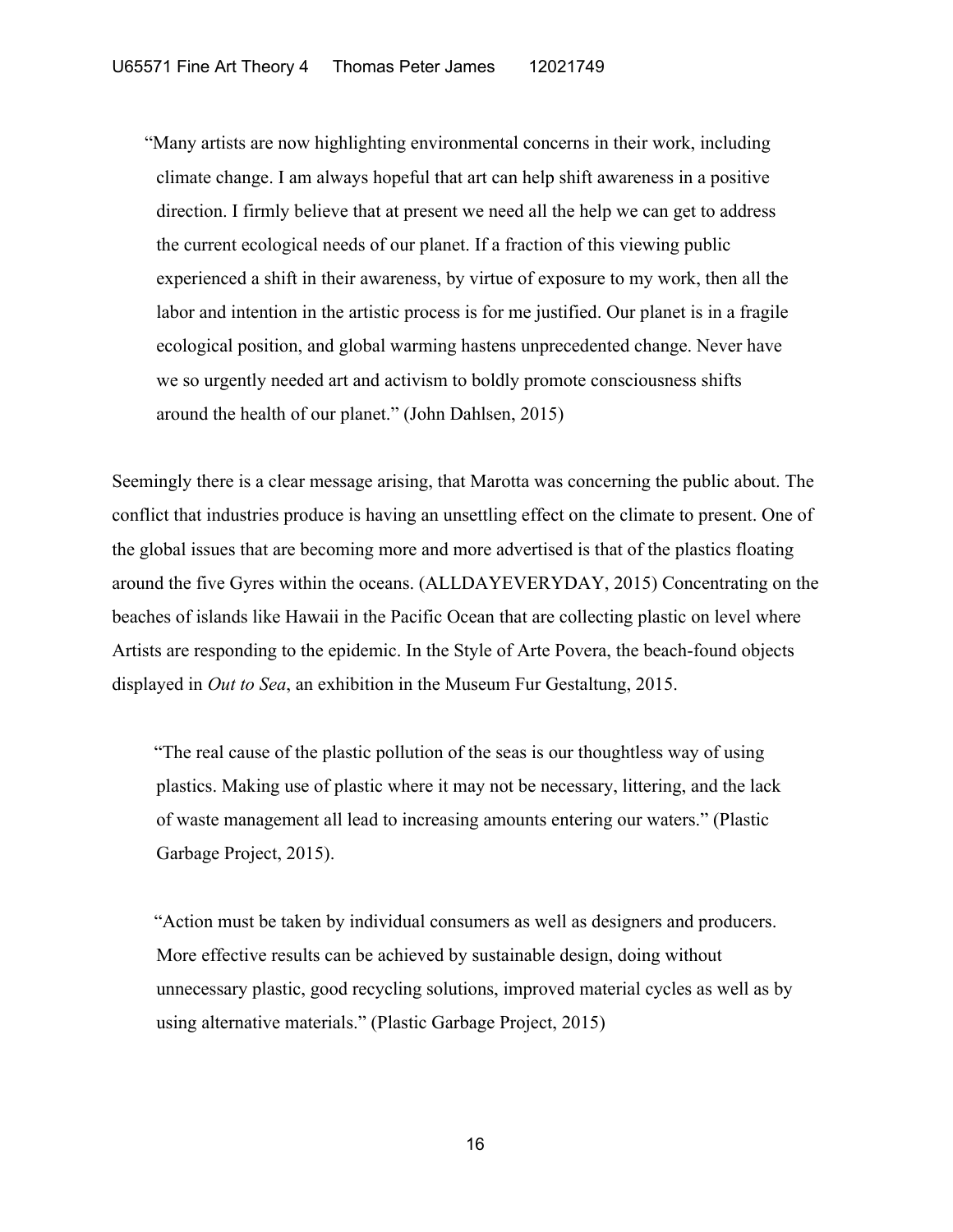"Many artists are now highlighting environmental concerns in their work, including climate change. I am always hopeful that art can help shift awareness in a positive direction. I firmly believe that at present we need all the help we can get to address the current ecological needs of our planet. If a fraction of this viewing public experienced a shift in their awareness, by virtue of exposure to my work, then all the labor and intention in the artistic process is for me justified. Our planet is in a fragile ecological position, and global warming hastens unprecedented change. Never have we so urgently needed art and activism to boldly promote consciousness shifts around the health of our planet." (John Dahlsen, 2015)

Seemingly there is a clear message arising, that Marotta was concerning the public about. The conflict that industries produce is having an unsettling effect on the climate to present. One of the global issues that are becoming more and more advertised is that of the plastics floating around the five Gyres within the oceans. (ALLDAYEVERYDAY, 2015) Concentrating on the beaches of islands like Hawaii in the Pacific Ocean that are collecting plastic on level where Artists are responding to the epidemic. In the Style of Arte Povera, the beach-found objects displayed in *Out to Sea*, an exhibition in the Museum Fur Gestaltung, 2015.

 "The real cause of the plastic pollution of the seas is our [thoughtless way of using](http://www.plasticgarbageproject.org/en/plastic-garbage/problems/plastic-production/) plastics. Making use of plastic where it may not be necessary, littering, and the lack of waste management all lead to increasing amounts entering our waters." (Plastic Garbage Project, 2015).

 "Action must be taken by individual consumers as well as designers and producers. More effective results can be achieved by sustainable design, doing without unnecessary plastic, good recycling solutions, improved [material cycles](http://www.plasticgarbageproject.org/en/plastic-garbage/solutions/material-cycle/) as well as by using [alternative materials](http://www.plasticgarbageproject.org/en/plastic-garbage/solutions/bioplastic/)." (Plastic Garbage Project, 2015)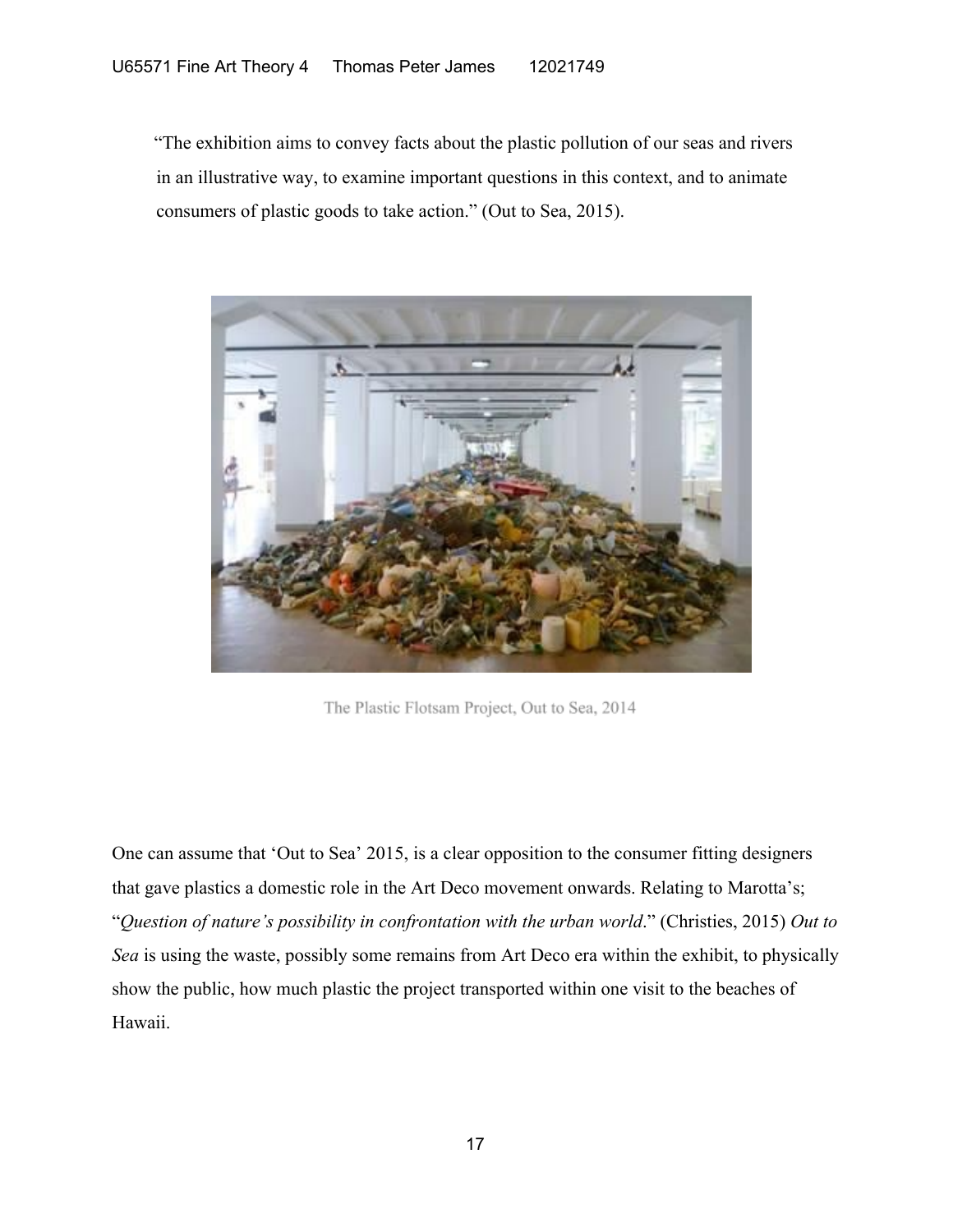"The exhibition aims to convey facts about the plastic pollution of our seas and rivers in an illustrative way, to examine important questions in this context, and to animate consumers of plastic goods to take action." (Out to Sea, 2015).



The Plastic Flotsam Project, Out to Sea, 2014

One can assume that 'Out to Sea' 2015, is a clear opposition to the consumer fitting designers that gave plastics a domestic role in the Art Deco movement onwards. Relating to Marotta's; "*Question of nature's possibility in confrontation with the urban world*." (Christies, 2015) *Out to Sea* is using the waste, possibly some remains from Art Deco era within the exhibit, to physically show the public, how much plastic the project transported within one visit to the beaches of Hawaii.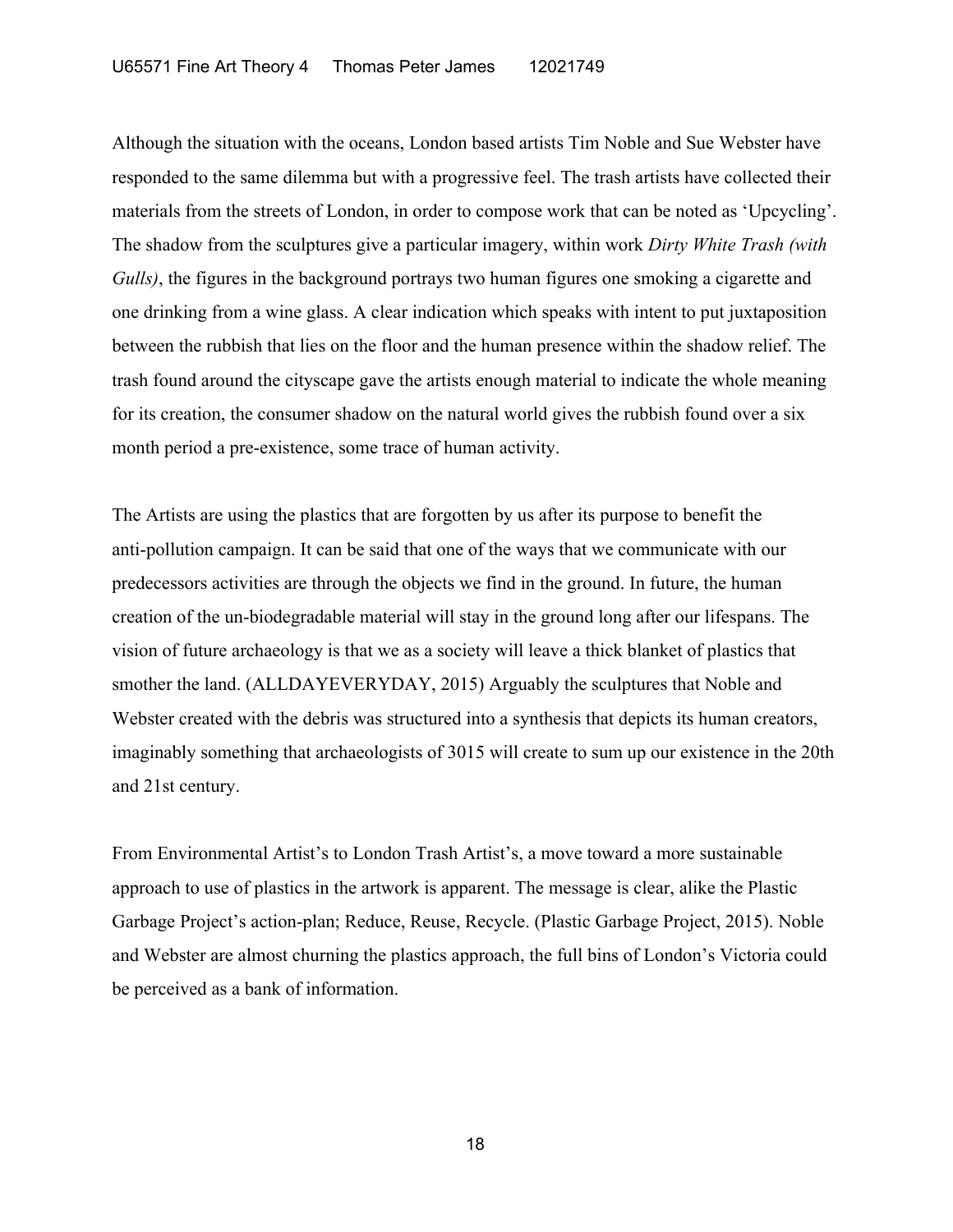Although the situation with the oceans, London based artists Tim Noble and Sue Webster have responded to the same dilemma but with a progressive feel. The trash artists have collected their materials from the streets of London, in order to compose work that can be noted as 'Upcycling'. The shadow from the sculptures give a particular imagery, within work *Dirty White Trash (with Gulls*), the figures in the background portrays two human figures one smoking a cigarette and one drinking from a wine glass. A clear indication which speaks with intent to put juxtaposition between the rubbish that lies on the floor and the human presence within the shadow relief. The trash found around the cityscape gave the artists enough material to indicate the whole meaning for its creation, the consumer shadow on the natural world gives the rubbish found over a six month period a pre-existence, some trace of human activity.

The Artists are using the plastics that are forgotten by us after its purpose to benefit the anti-pollution campaign. It can be said that one of the ways that we communicate with our predecessors activities are through the objects we find in the ground. In future, the human creation of the un-biodegradable material will stay in the ground long after our lifespans. The vision of future archaeology is that we as a society will leave a thick blanket of plastics that smother the land. (ALLDAYEVERYDAY, 2015) Arguably the sculptures that Noble and Webster created with the debris was structured into a synthesis that depicts its human creators, imaginably something that archaeologists of 3015 will create to sum up our existence in the 20th and 21st century.

From Environmental Artist's to London Trash Artist's, a move toward a more sustainable approach to use of plastics in the artwork is apparent. The message is clear, alike the Plastic Garbage Project's action-plan; Reduce, Reuse, Recycle. (Plastic Garbage Project, 2015). Noble and Webster are almost churning the plastics approach, the full bins of London's Victoria could be perceived as a bank of information.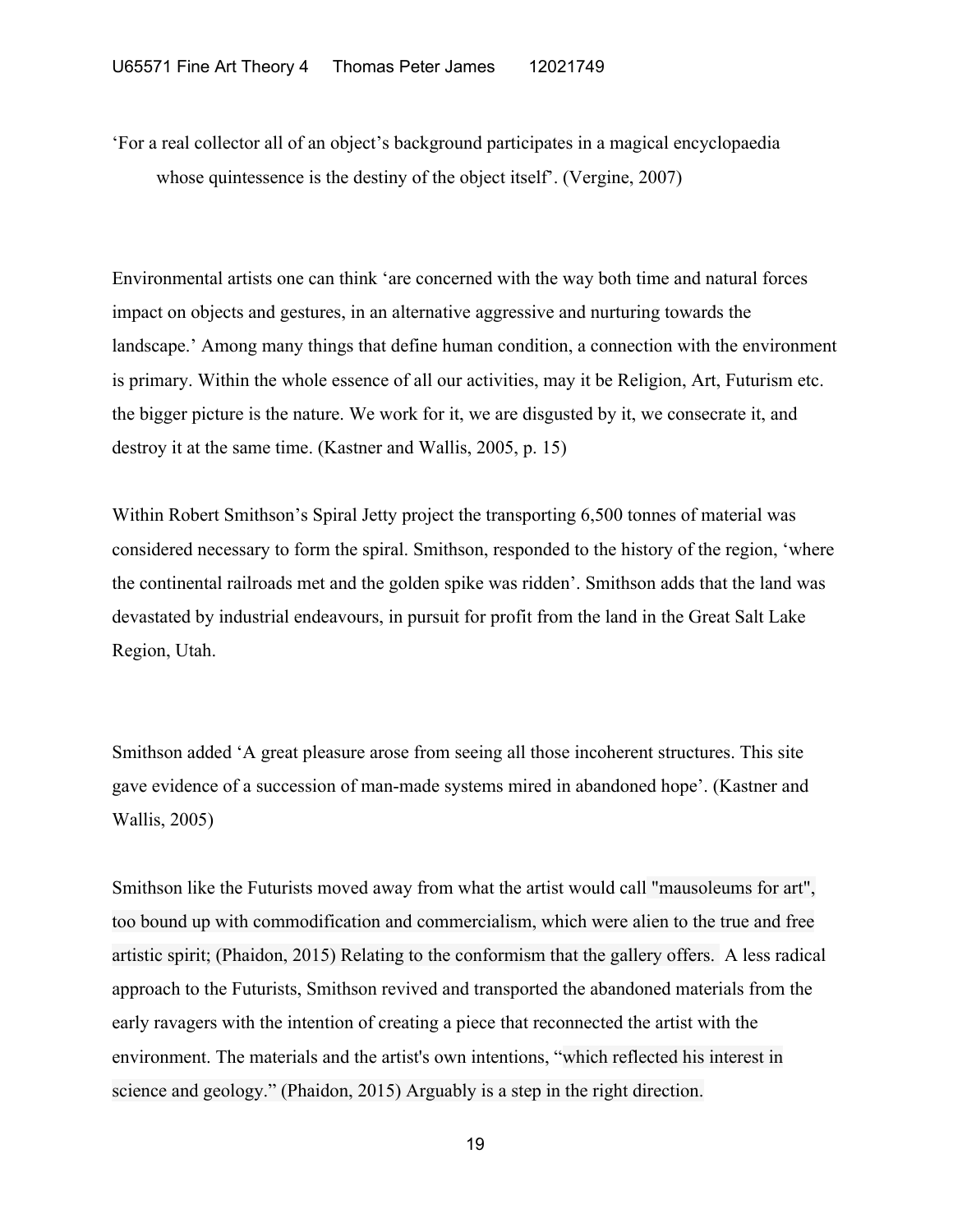'For a real collector all of an object's background participates in a magical encyclopaedia whose quintessence is the destiny of the object itself'. (Vergine, 2007)

Environmental artists one can think 'are concerned with the way both time and natural forces impact on objects and gestures, in an alternative aggressive and nurturing towards the landscape.' Among many things that define human condition, a connection with the environment is primary. Within the whole essence of all our activities, may it be Religion, Art, Futurism etc. the bigger picture is the nature. We work for it, we are disgusted by it, we consecrate it, and destroy it at the same time. (Kastner and Wallis, 2005, p. 15)

Within Robert Smithson's Spiral Jetty project the transporting 6,500 tonnes of material was considered necessary to form the spiral. Smithson, responded to the history of the region, 'where the continental railroads met and the golden spike was ridden'. Smithson adds that the land was devastated by industrial endeavours, in pursuit for profit from the land in the Great Salt Lake Region, Utah.

Smithson added 'A great pleasure arose from seeing all those incoherent structures. This site gave evidence of a succession of man-made systems mired in abandoned hope'. (Kastner and Wallis, 2005)

Smithson like the Futurists moved away from what the artist would call "mausoleums for art", too bound up with commodification and commercialism, which were alien to the true and free artistic spirit; (Phaidon, 2015) Relating to the conformism that the gallery offers. A less radical approach to the Futurists, Smithson revived and transported the abandoned materials from the early ravagers with the intention of creating a piece that reconnected the artist with the environment. The materials and the artist's own intentions, "which reflected his interest in science and geology." (Phaidon, 2015) Arguably is a step in the right direction.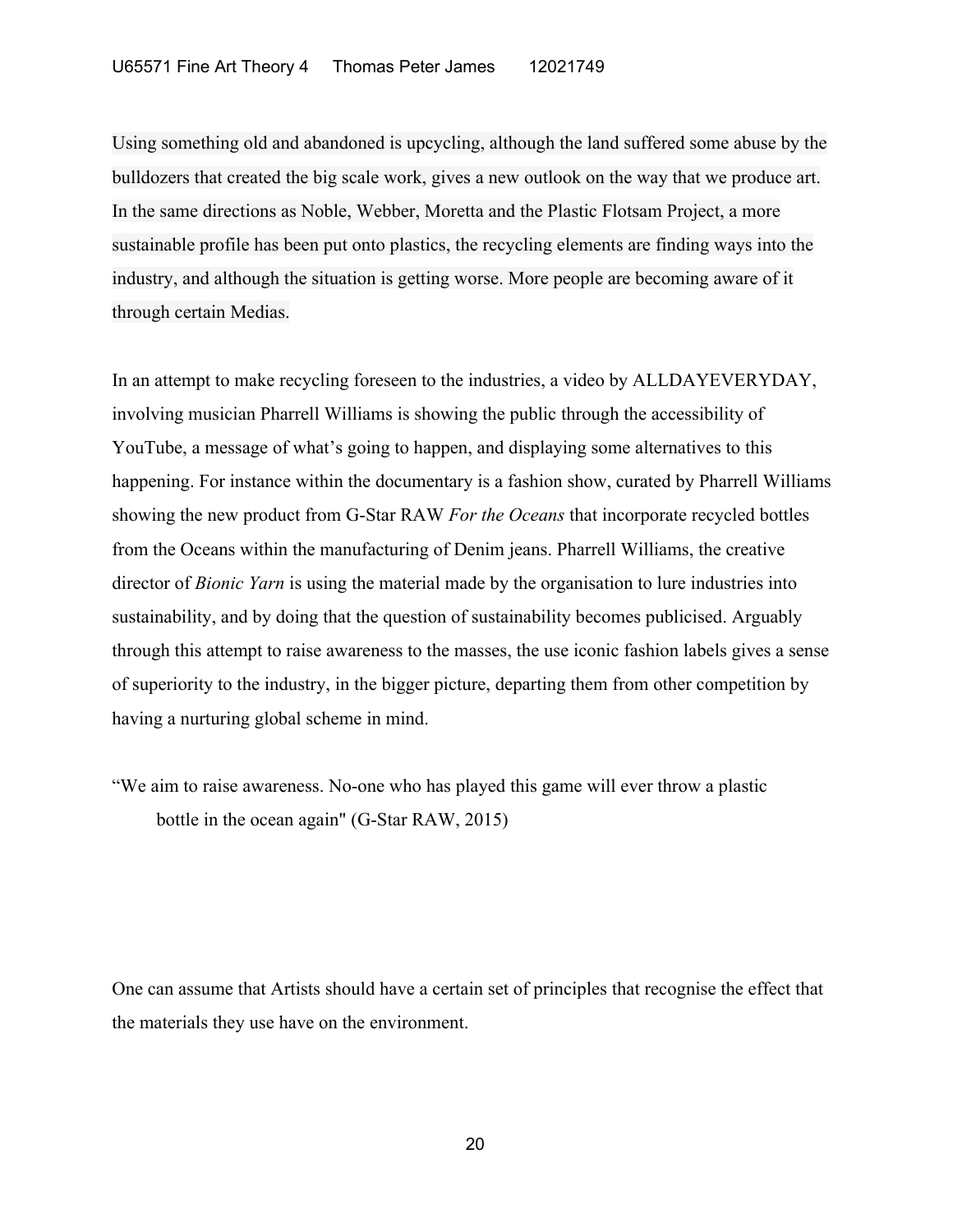Using something old and abandoned is upcycling, although the land suffered some abuse by the bulldozers that created the big scale work, gives a new outlook on the way that we produce art. In the same directions as Noble, Webber, Moretta and the Plastic Flotsam Project, a more sustainable profile has been put onto plastics, the recycling elements are finding ways into the industry, and although the situation is getting worse. More people are becoming aware of it through certain Medias.

In an attempt to make recycling foreseen to the industries, a video by ALLDAYEVERYDAY, involving musician Pharrell Williams is showing the public through the accessibility of YouTube, a message of what's going to happen, and displaying some alternatives to this happening. For instance within the documentary is a fashion show, curated by Pharrell Williams showing the new product from G-Star RAW *For the Oceans* that incorporate recycled bottles from the Oceans within the manufacturing of Denim jeans. Pharrell Williams, the creative director of *Bionic Yarn* is using the material made by the organisation to lure industries into sustainability, and by doing that the question of sustainability becomes publicised. Arguably through this attempt to raise awareness to the masses, the use iconic fashion labels gives a sense of superiority to the industry, in the bigger picture, departing them from other competition by having a nurturing global scheme in mind.

"We aim to raise awareness. No-one who has played this game will ever throw a plastic bottle in the ocean again" (G-Star RAW, 2015)

One can assume that Artists should have a certain set of principles that recognise the effect that the materials they use have on the environment.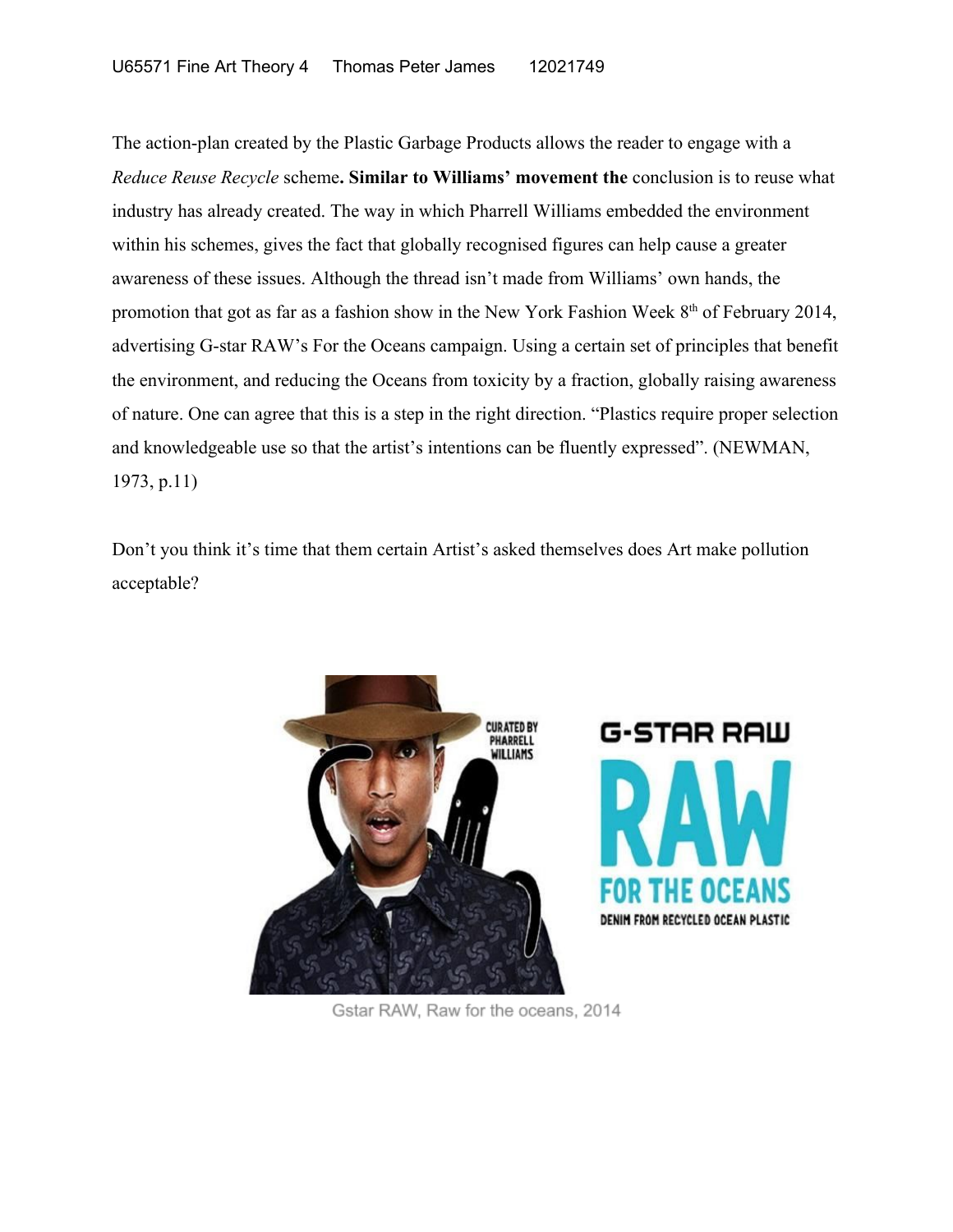The action-plan created by the Plastic Garbage Products allows the reader to engage with a *Reduce Reuse Recycle* scheme**. Similar to Williams' movement the** conclusion is to reuse what industry has already created. The way in which Pharrell Williams embedded the environment within his schemes, gives the fact that globally recognised figures can help cause a greater awareness of these issues. Although the thread isn't made from Williams' own hands, the promotion that got as far as a fashion show in the New York Fashion Week 8<sup>th</sup> of February 2014, advertising G-star RAW's For the Oceans campaign. Using a certain set of principles that benefit the environment, and reducing the Oceans from toxicity by a fraction, globally raising awareness of nature. One can agree that this is a step in the right direction. "Plastics require proper selection and knowledgeable use so that the artist's intentions can be fluently expressed". (NEWMAN, 1973, p.11)

Don't you think it's time that them certain Artist's asked themselves does Art make pollution acceptable?



Gstar RAW, Raw for the oceans, 2014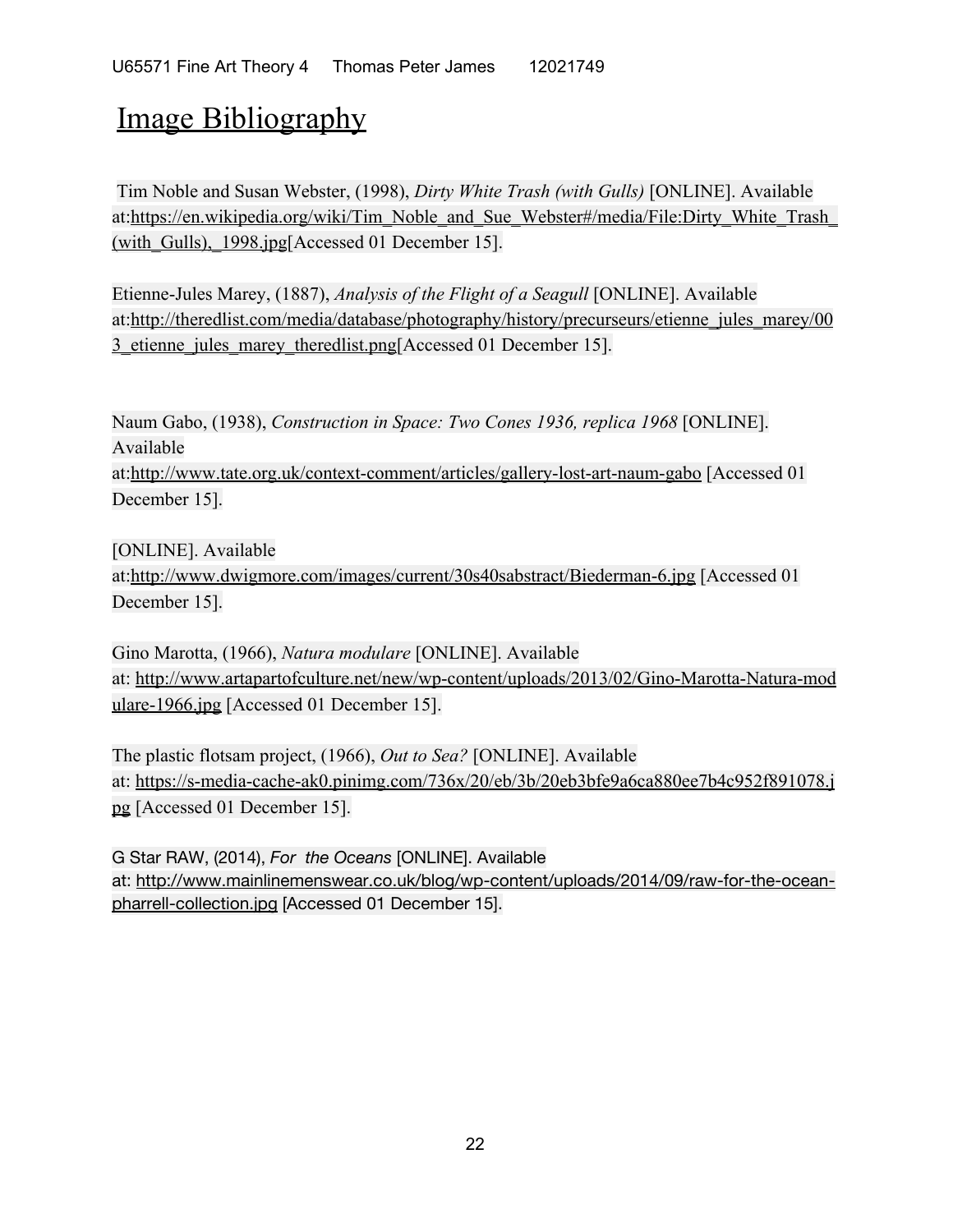## Image Bibliography

Tim Noble and Susan Webster, (1998), *Dirty White Trash (with Gulls)* [ONLINE]. Available at:https://en.wikipedia.org/wiki/Tim\_Noble\_and\_Sue\_Webster#/media/File:Dirty\_White\_Trash\_ (with Gulls),  $1998.jpg$  Accessed 01 December 15].

Etienne-Jules Marey, (1887), *Analysis of the Flight of a Seagull* [ONLINE]. Available at:http://theredlist.com/media/database/photography/history/precurseurs/etienne\_jules\_marey/00 3 etienne jules marey theredlist.png[Accessed 01 December 15].

Naum Gabo, (1938), *Construction in Space: Two Cones 1936, replica 1968* [ONLINE]. Available at:http://www.tate.org.uk/context-comment/articles/gallery-lost-art-naum-gabo [Accessed 01 December 15].

[ONLINE]. Available at:http://www.dwigmore.com/images/current/30s40sabstract/Biederman-6.jpg [Accessed 01 December 15].

Gino Marotta, (1966), *Natura modulare* [ONLINE]. Available at: http://www.artapartofculture.net/new/wp-content/uploads/2013/02/Gino-Marotta-Natura-mod ulare-1966.jpg [Accessed 01 December 15].

The plastic flotsam project, (1966), *Out to Sea?* [ONLINE]. Available at: https://s-media-cache-ak0.pinimg.com/736x/20/eb/3b/20eb3bfe9a6ca880ee7b4c952f891078.j pg [Accessed 01 December 15].

G Star RAW, (2014), *For the Oceans* [ONLINE]. Available at: http://www.mainlinemenswear.co.uk/blog/wp-content/uploads/2014/09/raw-for-the-oceanpharrell-collection.jpg [Accessed 01 December 15].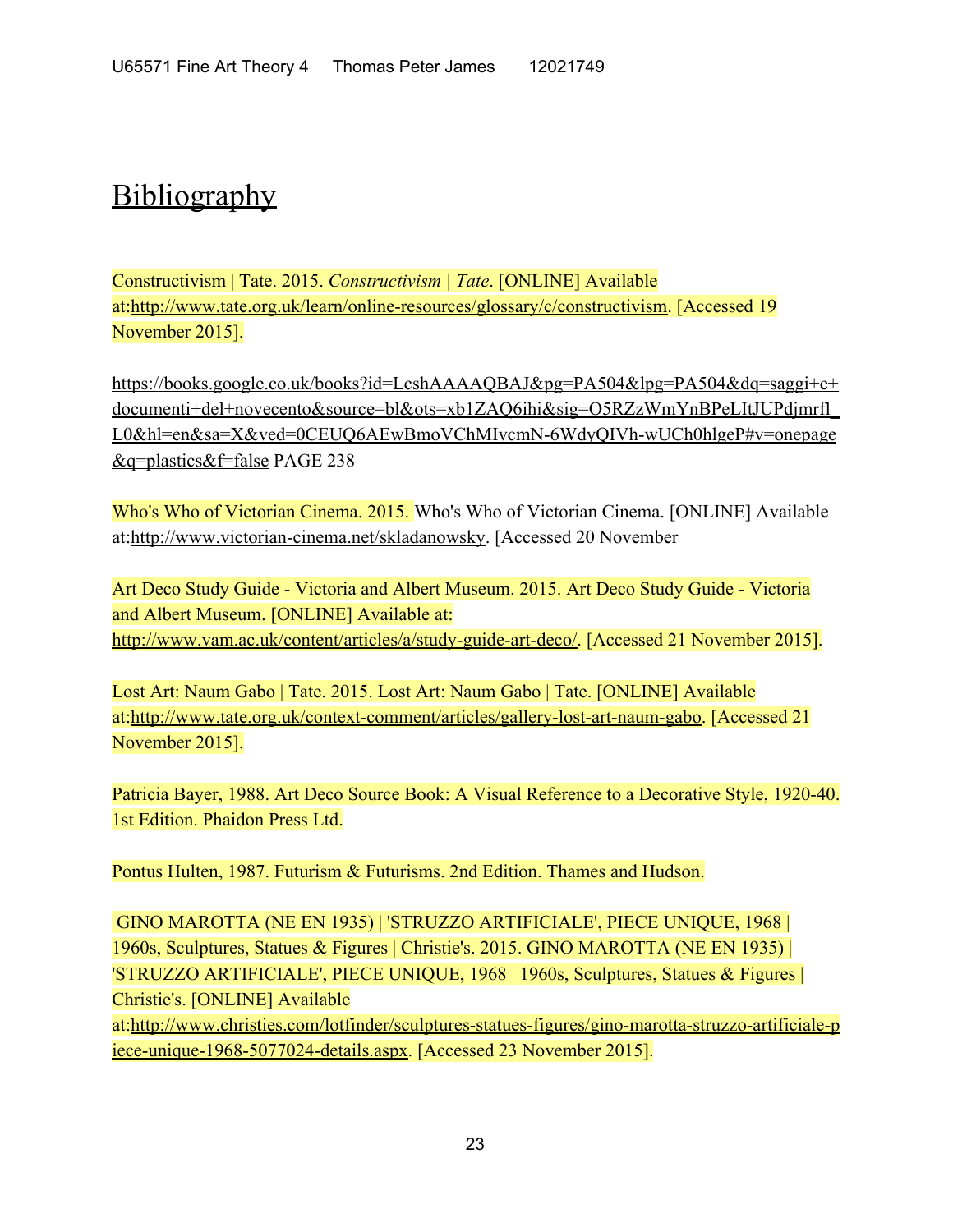# **Bibliography**

Constructivism | Tate. 2015. *Constructivism | Tate*. [ONLINE] Available at:[http://www.tate.org.uk/learn/online-resources/glossary/c/constructivism.](http://www.tate.org.uk/learn/online-resources/glossary/c/constructivism) [Accessed 19 November 2015].

[https://books.google.co.uk/books?id=LcshAAAAQBAJ&pg=PA504&lpg=PA504&dq=saggi+e+](https://books.google.co.uk/books?id=LcshAAAAQBAJ&pg=PA504&lpg=PA504&dq=saggi+e+documenti+del+novecento&source=bl&ots=xb1ZAQ6ihi&sig=O5RZzWmYnBPeLItJUPdjmrfl_L0&hl=en&sa=X&ved=0CEUQ6AEwBmoVChMIvcmN-6WdyQIVh-wUCh0hlgeP#v=onepage&q=plastics&f=false) [documenti+del+novecento&source=bl&ots=xb1ZAQ6ihi&sig=O5RZzWmYnBPeLItJUPdjmrfl\\_](https://books.google.co.uk/books?id=LcshAAAAQBAJ&pg=PA504&lpg=PA504&dq=saggi+e+documenti+del+novecento&source=bl&ots=xb1ZAQ6ihi&sig=O5RZzWmYnBPeLItJUPdjmrfl_L0&hl=en&sa=X&ved=0CEUQ6AEwBmoVChMIvcmN-6WdyQIVh-wUCh0hlgeP#v=onepage&q=plastics&f=false) [L0&hl=en&sa=X&ved=0CEUQ6AEwBmoVChMIvcmN-6WdyQIVh-wUCh0hlgeP#v=onepage](https://books.google.co.uk/books?id=LcshAAAAQBAJ&pg=PA504&lpg=PA504&dq=saggi+e+documenti+del+novecento&source=bl&ots=xb1ZAQ6ihi&sig=O5RZzWmYnBPeLItJUPdjmrfl_L0&hl=en&sa=X&ved=0CEUQ6AEwBmoVChMIvcmN-6WdyQIVh-wUCh0hlgeP#v=onepage&q=plastics&f=false) [&q=plastics&f=false](https://books.google.co.uk/books?id=LcshAAAAQBAJ&pg=PA504&lpg=PA504&dq=saggi+e+documenti+del+novecento&source=bl&ots=xb1ZAQ6ihi&sig=O5RZzWmYnBPeLItJUPdjmrfl_L0&hl=en&sa=X&ved=0CEUQ6AEwBmoVChMIvcmN-6WdyQIVh-wUCh0hlgeP#v=onepage&q=plastics&f=false) PAGE 238

Who's Who of Victorian Cinema. 2015. Who's Who of Victorian Cinema. [ONLINE] Available at:[http://www.victorian-cinema.net/skladanowsky.](http://www.victorian-cinema.net/skladanowsky) [Accessed 20 November

Art Deco Study Guide - Victoria and Albert Museum. 2015. Art Deco Study Guide - Victoria and Albert Museum. [ONLINE] Available at: [http://www.vam.ac.uk/content/articles/a/study-guide-art-deco/.](http://www.vam.ac.uk/content/articles/a/study-guide-art-deco/) [Accessed 21 November 2015].

Lost Art: Naum Gabo | Tate. 2015. Lost Art: Naum Gabo | Tate. [ONLINE] Available at:[http://www.tate.org.uk/context-comment/articles/gallery-lost-art-naum-gabo.](http://www.tate.org.uk/context-comment/articles/gallery-lost-art-naum-gabo) [Accessed 21 November 2015].

Patricia Bayer, 1988. Art Deco Source Book: A Visual Reference to a Decorative Style, 1920-40. 1st Edition. Phaidon Press Ltd.

Pontus Hulten, 1987. Futurism & Futurisms. 2nd Edition. Thames and Hudson.

 GINO MAROTTA (NE EN 1935) | 'STRUZZO ARTIFICIALE', PIECE UNIQUE, 1968 | 1960s, Sculptures, Statues & Figures | Christie's. 2015. GINO MAROTTA (NE EN 1935) | 'STRUZZO ARTIFICIALE', PIECE UNIQUE, 1968 | 1960s, Sculptures, Statues & Figures | Christie's. [ONLINE] Available at:[http://www.christies.com/lotfinder/sculptures-statues-figures/gino-marotta-struzzo-artificiale-p](http://www.christies.com/lotfinder/sculptures-statues-figures/gino-marotta-struzzo-artificiale-piece-unique-1968-5077024-details.aspx) [iece-unique-1968-5077024-details.aspx](http://www.christies.com/lotfinder/sculptures-statues-figures/gino-marotta-struzzo-artificiale-piece-unique-1968-5077024-details.aspx). [Accessed 23 November 2015].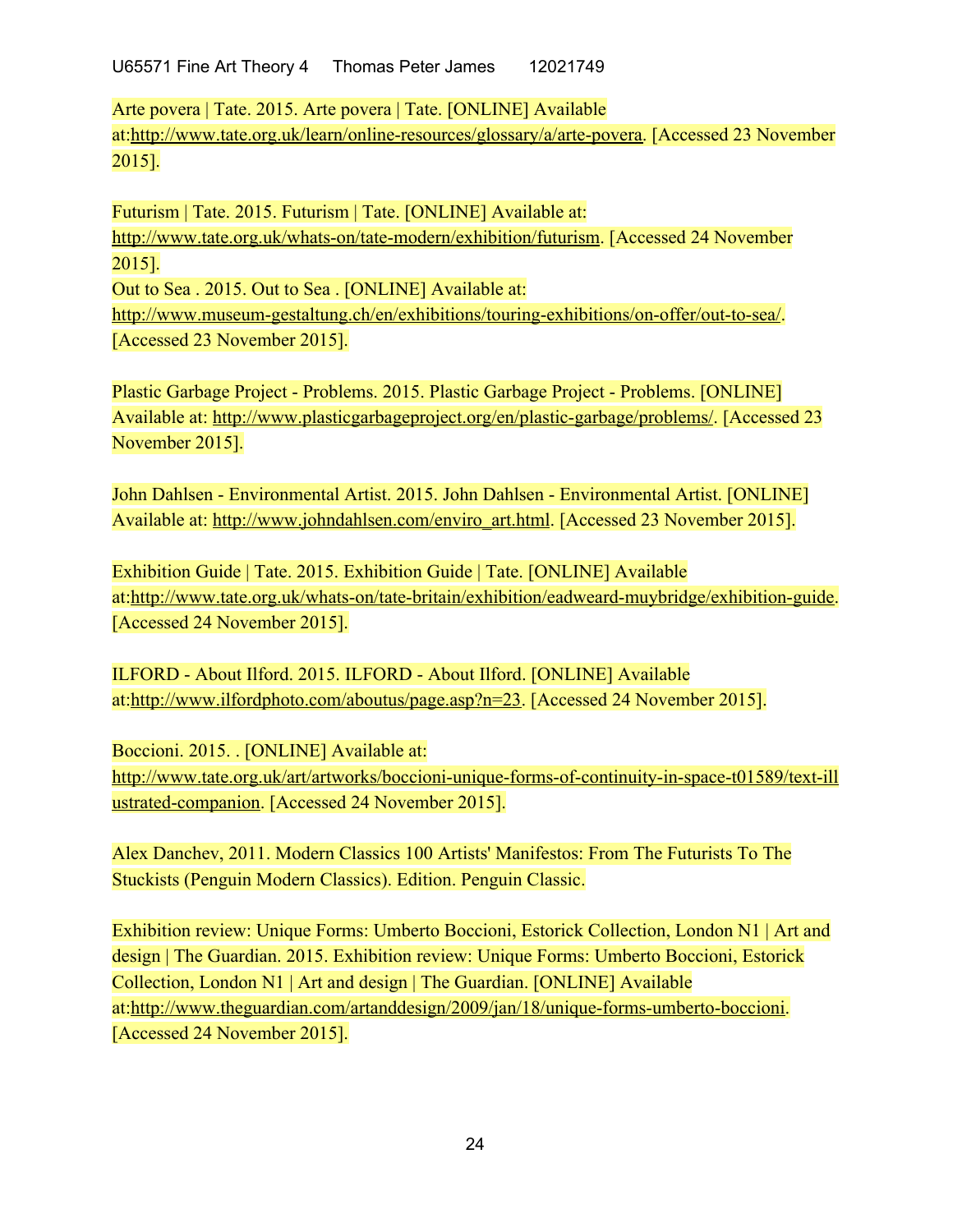U65571 Fine Art Theory 4 Thomas Peter James 12021749

Arte povera | Tate. 2015. Arte povera | Tate. [ONLINE] Available at:[http://www.tate.org.uk/learn/online-resources/glossary/a/arte-povera.](http://www.tate.org.uk/learn/online-resources/glossary/a/arte-povera) [Accessed 23 November 2015].

Futurism | Tate. 2015. Futurism | Tate. [ONLINE] Available at: [http://www.tate.org.uk/whats-on/tate-modern/exhibition/futurism.](http://www.tate.org.uk/whats-on/tate-modern/exhibition/futurism) [Accessed 24 November 2015]. Out to Sea . 2015. Out to Sea . [ONLINE] Available at: [http://www.museum-gestaltung.ch/en/exhibitions/touring-exhibitions/on-offer/out-to-sea/.](http://www.museum-gestaltung.ch/en/exhibitions/touring-exhibitions/on-offer/out-to-sea/)

[Accessed 23 November 2015].

Plastic Garbage Project - Problems. 2015. Plastic Garbage Project - Problems. [ONLINE] Available at:<http://www.plasticgarbageproject.org/en/plastic-garbage/problems/>. [Accessed 23 November 2015].

John Dahlsen - Environmental Artist. 2015. John Dahlsen - Environmental Artist. [ONLINE] Available at: [http://www.johndahlsen.com/enviro\\_art.html](http://www.johndahlsen.com/enviro_art.html). [Accessed 23 November 2015].

Exhibition Guide | Tate. 2015. Exhibition Guide | Tate. [ONLINE] Available at:<http://www.tate.org.uk/whats-on/tate-britain/exhibition/eadweard-muybridge/exhibition-guide>. [Accessed 24 November 2015].

ILFORD - About Ilford. 2015. ILFORD - About Ilford. [ONLINE] Available at:<http://www.ilfordphoto.com/aboutus/page.asp?n=23>. [Accessed 24 November 2015].

Boccioni. 2015. . [ONLINE] Available at: [http://www.tate.org.uk/art/artworks/boccioni-unique-forms-of-continuity-in-space-t01589/text-ill](http://www.tate.org.uk/art/artworks/boccioni-unique-forms-of-continuity-in-space-t01589/text-illustrated-companion) [ustrated-companion](http://www.tate.org.uk/art/artworks/boccioni-unique-forms-of-continuity-in-space-t01589/text-illustrated-companion). [Accessed 24 November 2015].

Alex Danchev, 2011. Modern Classics 100 Artists' Manifestos: From The Futurists To The Stuckists (Penguin Modern Classics). Edition. Penguin Classic.

Exhibition review: Unique Forms: Umberto Boccioni, Estorick Collection, London N1 | Art and design | The Guardian. 2015. Exhibition review: Unique Forms: Umberto Boccioni, Estorick Collection, London N1 | Art and design | The Guardian. [ONLINE] Available at:[http://www.theguardian.com/artanddesign/2009/jan/18/unique-forms-umberto-boccioni.](http://www.theguardian.com/artanddesign/2009/jan/18/unique-forms-umberto-boccioni) [Accessed 24 November 2015].